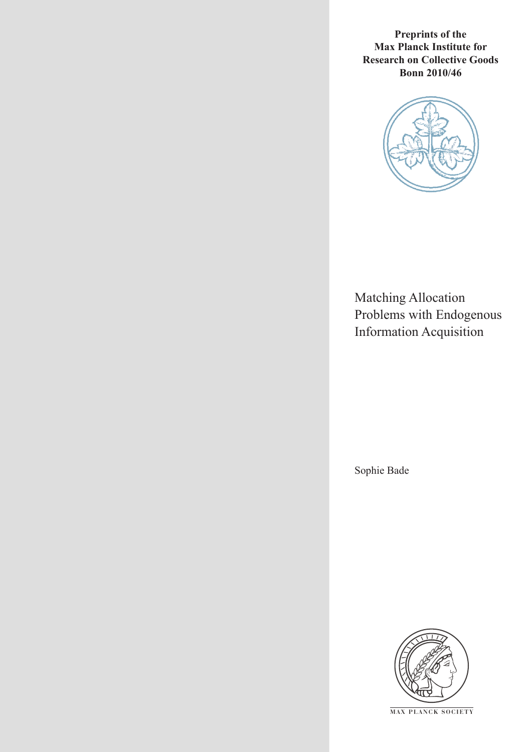**Preprints of the Max Planck Institute for Research on Collective Goods Bonn 2010/46**



Matching Allocation Problems with Endogenous Information Acquisition

Sophie Bade



**M AX PLANCK SOCIETY**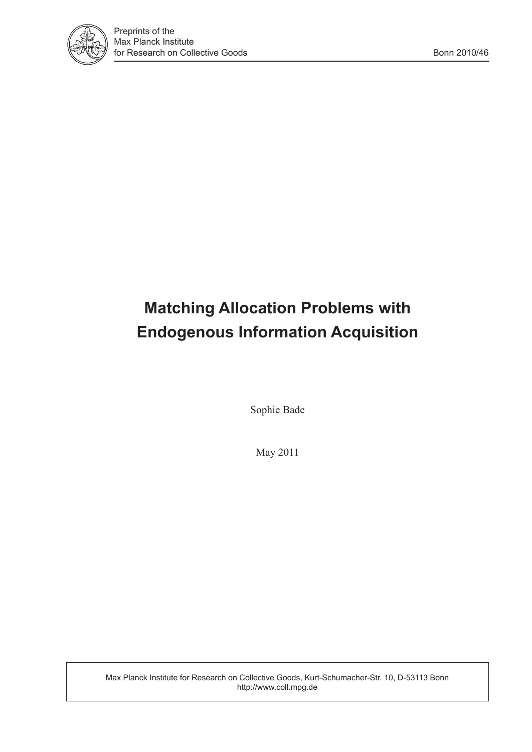

# **Matching Allocation Problems with Endogenous Information Acquisition**

Sophie Bade

May 2011

Max Planck Institute for Research on Collective Goods, Kurt-Schumacher-Str. 10, D-53113 Bonn http://www.coll.mpg.de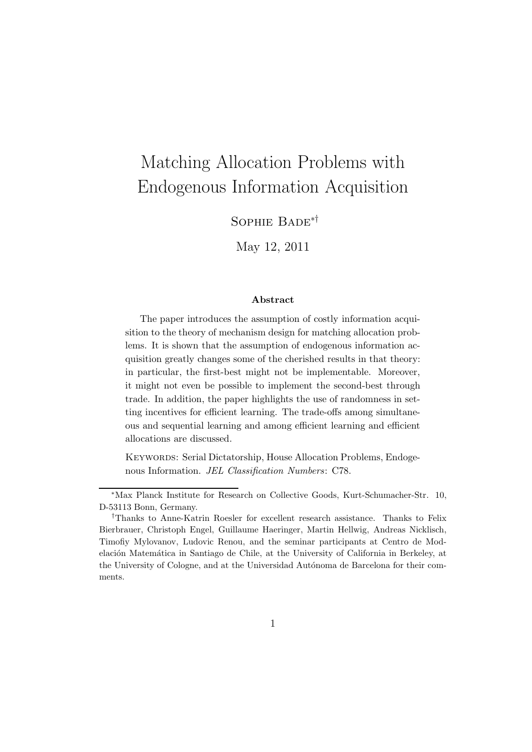# Matching Allocation Problems with Endogenous Information Acquisition

Sophie Bade∗†

May 12, 2011

#### Abstract

The paper introduces the assumption of costly information acquisition to the theory of mechanism design for matching allocation problems. It is shown that the assumption of endogenous information acquisition greatly changes some of the cherished results in that theory: in particular, the first-best might not be implementable. Moreover, it might not even be possible to implement the second-best through trade. In addition, the paper highlights the use of randomness in setting incentives for efficient learning. The trade-offs among simultaneous and sequential learning and among efficient learning and efficient allocations are discussed.

KEYWORDS: Serial Dictatorship, House Allocation Problems, Endogenous Information. JEL Classification Numbers: C78.

<sup>∗</sup>Max Planck Institute for Research on Collective Goods, Kurt-Schumacher-Str. 10, D-53113 Bonn, Germany.

<sup>†</sup>Thanks to Anne-Katrin Roesler for excellent research assistance. Thanks to Felix Bierbrauer, Christoph Engel, Guillaume Haeringer, Martin Hellwig, Andreas Nicklisch, Timofiy Mylovanov, Ludovic Renou, and the seminar participants at Centro de Modelación Matemática in Santiago de Chile, at the University of California in Berkeley, at the University of Cologne, and at the Universidad Autónoma de Barcelona for their comments.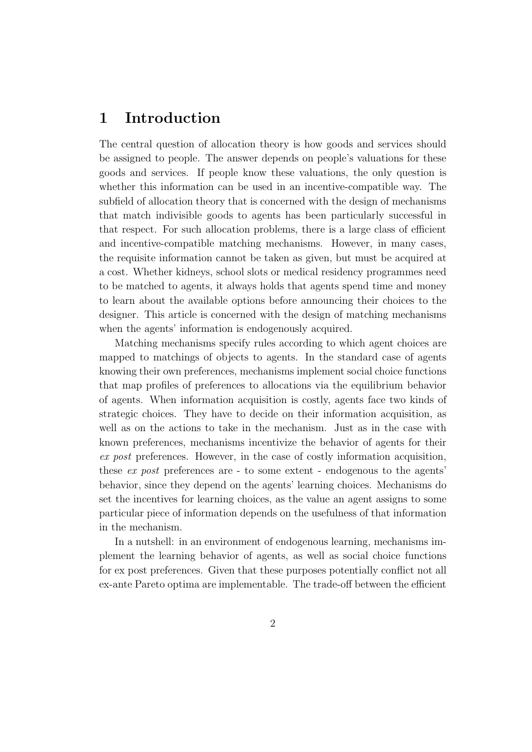### 1 Introduction

The central question of allocation theory is how goods and services should be assigned to people. The answer depends on people's valuations for these goods and services. If people know these valuations, the only question is whether this information can be used in an incentive-compatible way. The subfield of allocation theory that is concerned with the design of mechanisms that match indivisible goods to agents has been particularly successful in that respect. For such allocation problems, there is a large class of efficient and incentive-compatible matching mechanisms. However, in many cases, the requisite information cannot be taken as given, but must be acquired at a cost. Whether kidneys, school slots or medical residency programmes need to be matched to agents, it always holds that agents spend time and money to learn about the available options before announcing their choices to the designer. This article is concerned with the design of matching mechanisms when the agents' information is endogenously acquired.

Matching mechanisms specify rules according to which agent choices are mapped to matchings of objects to agents. In the standard case of agents knowing their own preferences, mechanisms implement social choice functions that map profiles of preferences to allocations via the equilibrium behavior of agents. When information acquisition is costly, agents face two kinds of strategic choices. They have to decide on their information acquisition, as well as on the actions to take in the mechanism. Just as in the case with known preferences, mechanisms incentivize the behavior of agents for their *ex post* preferences. However, in the case of costly information acquisition, these *ex post* preferences are - to some extent - endogenous to the agents' behavior, since they depend on the agents' learning choices. Mechanisms do set the incentives for learning choices, as the value an agent assigns to some particular piece of information depends on the usefulness of that information in the mechanism.

In a nutshell: in an environment of endogenous learning, mechanisms implement the learning behavior of agents, as well as social choice functions for ex post preferences. Given that these purposes potentially conflict not all ex-ante Pareto optima are implementable. The trade-off between the efficient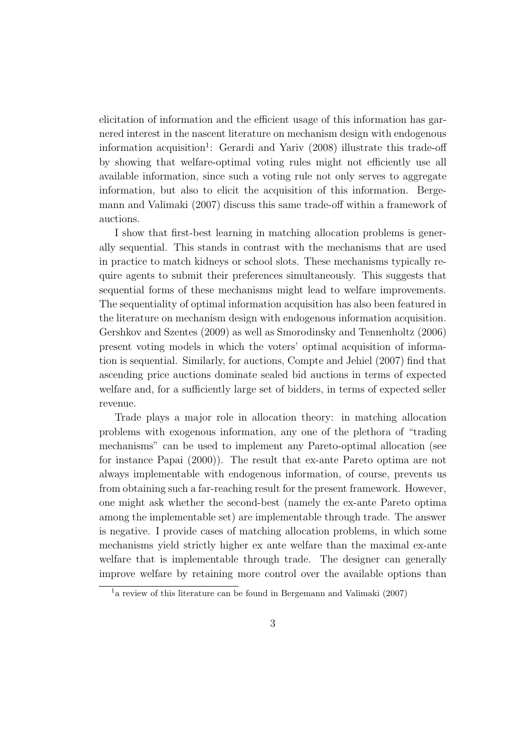elicitation of information and the efficient usage of this information has garnered interest in the nascent literature on mechanism design with endogenous information acquisition<sup>1</sup>: Gerardi and Yariv (2008) illustrate this trade-off by showing that welfare-optimal voting rules might not efficiently use all available information, since such a voting rule not only serves to aggregate information, but also to elicit the acquisition of this information. Bergemann and Valimaki (2007) discuss this same trade-off within a framework of auctions.

I show that first-best learning in matching allocation problems is generally sequential. This stands in contrast with the mechanisms that are used in practice to match kidneys or school slots. These mechanisms typically require agents to submit their preferences simultaneously. This suggests that sequential forms of these mechanisms might lead to welfare improvements. The sequentiality of optimal information acquisition has also been featured in the literature on mechanism design with endogenous information acquisition. Gershkov and Szentes (2009) as well as Smorodinsky and Tennenholtz (2006) present voting models in which the voters' optimal acquisition of information is sequential. Similarly, for auctions, Compte and Jehiel (2007) find that ascending price auctions dominate sealed bid auctions in terms of expected welfare and, for a sufficiently large set of bidders, in terms of expected seller revenue.

Trade plays a major role in allocation theory: in matching allocation problems with exogenous information, any one of the plethora of "trading mechanisms" can be used to implement any Pareto-optimal allocation (see for instance Papai (2000)). The result that ex-ante Pareto optima are not always implementable with endogenous information, of course, prevents us from obtaining such a far-reaching result for the present framework. However, one might ask whether the second-best (namely the ex-ante Pareto optima among the implementable set) are implementable through trade. The answer is negative. I provide cases of matching allocation problems, in which some mechanisms yield strictly higher ex ante welfare than the maximal ex-ante welfare that is implementable through trade. The designer can generally improve welfare by retaining more control over the available options than

<sup>1</sup>a review of this literature can be found in Bergemann and Valimaki (2007)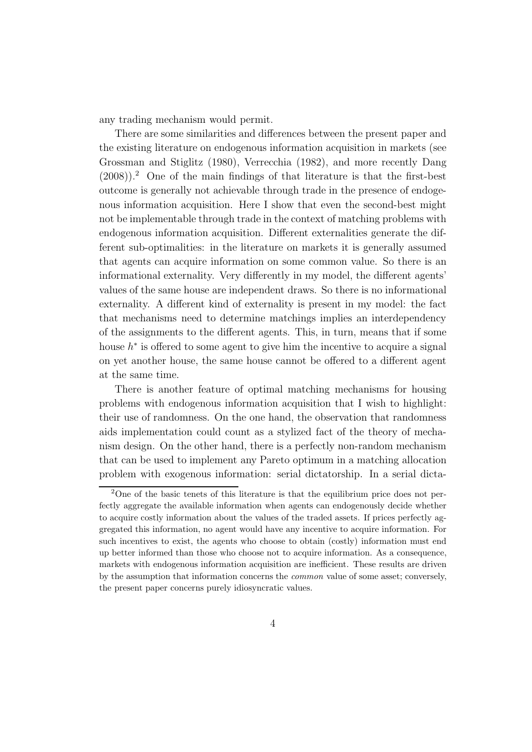any trading mechanism would permit.

There are some similarities and differences between the present paper and the existing literature on endogenous information acquisition in markets (see Grossman and Stiglitz (1980), Verrecchia (1982), and more recently Dang  $(2008)$ ).<sup>2</sup> One of the main findings of that literature is that the first-best outcome is generally not achievable through trade in the presence of endogenous information acquisition. Here I show that even the second-best might not be implementable through trade in the context of matching problems with endogenous information acquisition. Different externalities generate the different sub-optimalities: in the literature on markets it is generally assumed that agents can acquire information on some common value. So there is an informational externality. Very differently in my model, the different agents' values of the same house are independent draws. So there is no informational externality. A different kind of externality is present in my model: the fact that mechanisms need to determine matchings implies an interdependency of the assignments to the different agents. This, in turn, means that if some house  $h^*$  is offered to some agent to give him the incentive to acquire a signal on yet another house, the same house cannot be offered to a different agent at the same time.

There is another feature of optimal matching mechanisms for housing problems with endogenous information acquisition that I wish to highlight: their use of randomness. On the one hand, the observation that randomness aids implementation could count as a stylized fact of the theory of mechanism design. On the other hand, there is a perfectly non-random mechanism that can be used to implement any Pareto optimum in a matching allocation problem with exogenous information: serial dictatorship. In a serial dicta-

 $2$ One of the basic tenets of this literature is that the equilibrium price does not perfectly aggregate the available information when agents can endogenously decide whether to acquire costly information about the values of the traded assets. If prices perfectly aggregated this information, no agent would have any incentive to acquire information. For such incentives to exist, the agents who choose to obtain (costly) information must end up better informed than those who choose not to acquire information. As a consequence, markets with endogenous information acquisition are inefficient. These results are driven by the assumption that information concerns the common value of some asset; conversely, the present paper concerns purely idiosyncratic values.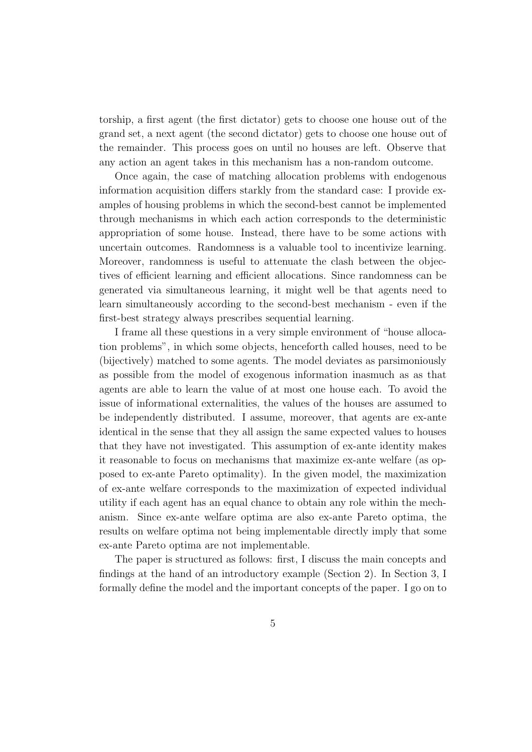torship, a first agent (the first dictator) gets to choose one house out of the grand set, a next agent (the second dictator) gets to choose one house out of the remainder. This process goes on until no houses are left. Observe that any action an agent takes in this mechanism has a non-random outcome.

Once again, the case of matching allocation problems with endogenous information acquisition differs starkly from the standard case: I provide examples of housing problems in which the second-best cannot be implemented through mechanisms in which each action corresponds to the deterministic appropriation of some house. Instead, there have to be some actions with uncertain outcomes. Randomness is a valuable tool to incentivize learning. Moreover, randomness is useful to attenuate the clash between the objectives of efficient learning and efficient allocations. Since randomness can be generated via simultaneous learning, it might well be that agents need to learn simultaneously according to the second-best mechanism - even if the first-best strategy always prescribes sequential learning.

I frame all these questions in a very simple environment of "house allocation problems", in which some objects, henceforth called houses, need to be (bijectively) matched to some agents. The model deviates as parsimoniously as possible from the model of exogenous information inasmuch as as that agents are able to learn the value of at most one house each. To avoid the issue of informational externalities, the values of the houses are assumed to be independently distributed. I assume, moreover, that agents are ex-ante identical in the sense that they all assign the same expected values to houses that they have not investigated. This assumption of ex-ante identity makes it reasonable to focus on mechanisms that maximize ex-ante welfare (as opposed to ex-ante Pareto optimality). In the given model, the maximization of ex-ante welfare corresponds to the maximization of expected individual utility if each agent has an equal chance to obtain any role within the mechanism. Since ex-ante welfare optima are also ex-ante Pareto optima, the results on welfare optima not being implementable directly imply that some ex-ante Pareto optima are not implementable.

The paper is structured as follows: first, I discuss the main concepts and findings at the hand of an introductory example (Section 2). In Section 3, I formally define the model and the important concepts of the paper. I go on to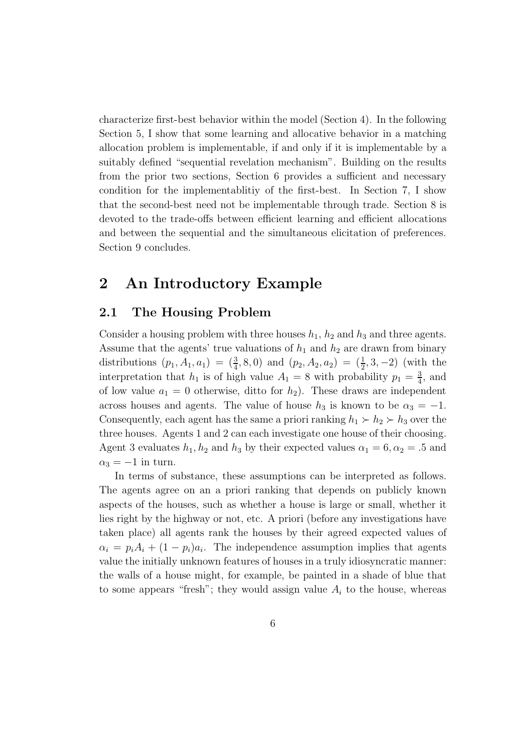characterize first-best behavior within the model (Section 4). In the following Section 5, I show that some learning and allocative behavior in a matching allocation problem is implementable, if and only if it is implementable by a suitably defined "sequential revelation mechanism". Building on the results from the prior two sections, Section 6 provides a sufficient and necessary condition for the implementablitiy of the first-best. In Section 7, I show that the second-best need not be implementable through trade. Section 8 is devoted to the trade-offs between efficient learning and efficient allocations and between the sequential and the simultaneous elicitation of preferences. Section 9 concludes.

### 2 An Introductory Example

### 2.1 The Housing Problem

Consider a housing problem with three houses  $h_1$ ,  $h_2$  and  $h_3$  and three agents. Assume that the agents' true valuations of  $h_1$  and  $h_2$  are drawn from binary distributions  $(p_1, A_1, a_1) = (\frac{3}{4}, 8, 0)$  and  $(p_2, A_2, a_2) = (\frac{1}{2}, 3, -2)$  (with the interpretation that  $h_1$  is of high value  $A_1 = 8$  with probability  $p_1 = \frac{3}{4}$  $\frac{3}{4}$ , and of low value  $a_1 = 0$  otherwise, ditto for  $h_2$ ). These draws are independent across houses and agents. The value of house  $h_3$  is known to be  $\alpha_3 = -1$ . Consequently, each agent has the same a priori ranking  $h_1 \succ h_2 \succ h_3$  over the three houses. Agents 1 and 2 can each investigate one house of their choosing. Agent 3 evaluates  $h_1, h_2$  and  $h_3$  by their expected values  $\alpha_1 = 6, \alpha_2 = .5$  and  $\alpha_3 = -1$  in turn.

In terms of substance, these assumptions can be interpreted as follows. The agents agree on an a priori ranking that depends on publicly known aspects of the houses, such as whether a house is large or small, whether it lies right by the highway or not, etc. A priori (before any investigations have taken place) all agents rank the houses by their agreed expected values of  $\alpha_i = p_i A_i + (1 - p_i) a_i$ . The independence assumption implies that agents value the initially unknown features of houses in a truly idiosyncratic manner: the walls of a house might, for example, be painted in a shade of blue that to some appears "fresh"; they would assign value  $A_i$  to the house, whereas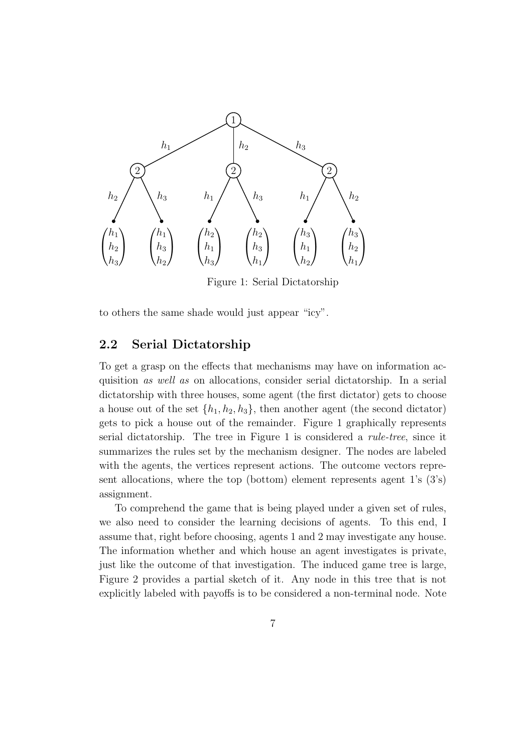

Figure 1: Serial Dictatorship

to others the same shade would just appear "icy".

### 2.2 Serial Dictatorship

To get a grasp on the effects that mechanisms may have on information acquisition *as well as* on allocations, consider serial dictatorship. In a serial dictatorship with three houses, some agent (the first dictator) gets to choose a house out of the set  $\{h_1, h_2, h_3\}$ , then another agent (the second dictator) gets to pick a house out of the remainder. Figure 1 graphically represents serial dictatorship. The tree in Figure 1 is considered a *rule-tree*, since it summarizes the rules set by the mechanism designer. The nodes are labeled with the agents, the vertices represent actions. The outcome vectors represent allocations, where the top (bottom) element represents agent  $1$ 's  $(3)$ 's) assignment.

To comprehend the game that is being played under a given set of rules, we also need to consider the learning decisions of agents. To this end, I assume that, right before choosing, agents 1 and 2 may investigate any house. The information whether and which house an agent investigates is private, just like the outcome of that investigation. The induced game tree is large, Figure 2 provides a partial sketch of it. Any node in this tree that is not explicitly labeled with payoffs is to be considered a non-terminal node. Note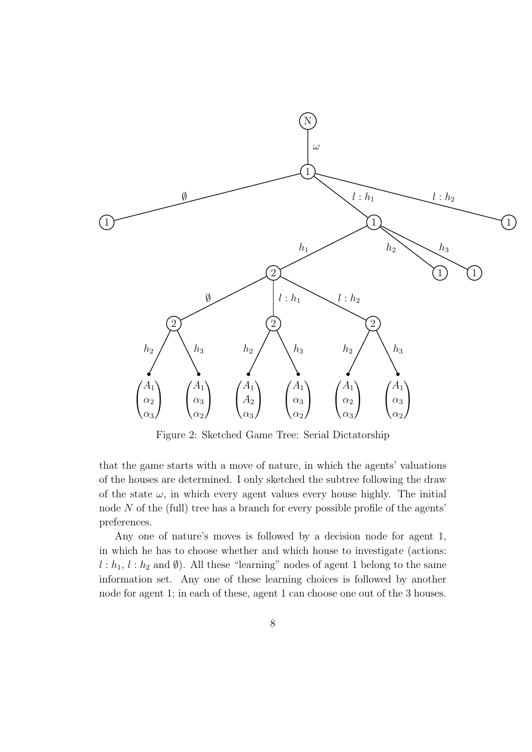

Figure 2: Sketched Game Tree: Serial Dictatorship

that the game starts with a move of nature, in which the agents' valuations of the houses are determined. I only sketched the subtree following the draw of the state  $\omega$ , in which every agent values every house highly. The initial node  $N$  of the (full) tree has a branch for every possible profile of the agents' preferences.

Any one of nature's moves is followed by a decision node for agent 1, in which he has to choose whether and which house to investigate (actions:  $l : h_1, l : h_2$  and  $\emptyset$ ). All these "learning" nodes of agent 1 belong to the same information set. Any one of these learning choices is followed by another node for agent 1; in each of these, agent 1 can choose one out of the 3 houses.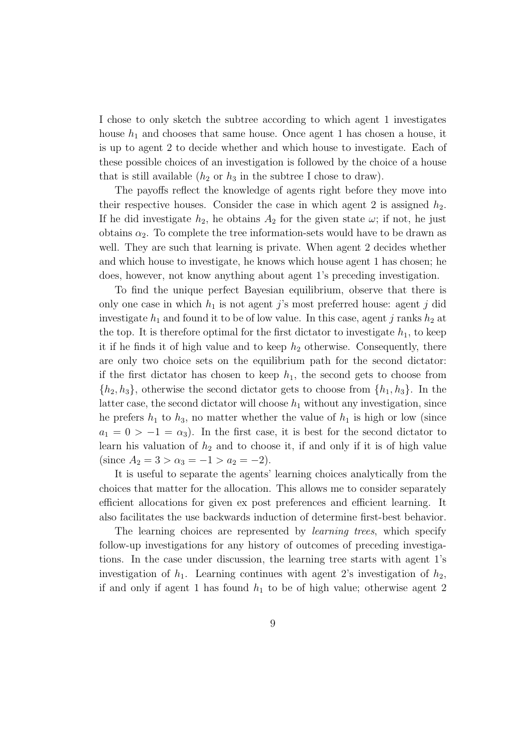I chose to only sketch the subtree according to which agent 1 investigates house  $h_1$  and chooses that same house. Once agent 1 has chosen a house, it is up to agent 2 to decide whether and which house to investigate. Each of these possible choices of an investigation is followed by the choice of a house that is still available  $(h_2 \text{ or } h_3 \text{ in the subtree I chose to draw}).$ 

The payoffs reflect the knowledge of agents right before they move into their respective houses. Consider the case in which agent 2 is assigned  $h_2$ . If he did investigate  $h_2$ , he obtains  $A_2$  for the given state  $\omega$ ; if not, he just obtains  $\alpha_2$ . To complete the tree information-sets would have to be drawn as well. They are such that learning is private. When agent 2 decides whether and which house to investigate, he knows which house agent 1 has chosen; he does, however, not know anything about agent 1's preceding investigation.

To find the unique perfect Bayesian equilibrium, observe that there is only one case in which  $h_1$  is not agent j's most preferred house: agent j did investigate  $h_1$  and found it to be of low value. In this case, agent j ranks  $h_2$  at the top. It is therefore optimal for the first dictator to investigate  $h_1$ , to keep it if he finds it of high value and to keep  $h_2$  otherwise. Consequently, there are only two choice sets on the equilibrium path for the second dictator: if the first dictator has chosen to keep  $h_1$ , the second gets to choose from  $\{h_2, h_3\}$ , otherwise the second dictator gets to choose from  $\{h_1, h_3\}$ . In the latter case, the second dictator will choose  $h_1$  without any investigation, since he prefers  $h_1$  to  $h_3$ , no matter whether the value of  $h_1$  is high or low (since  $a_1 = 0 > -1 = \alpha_3$ . In the first case, it is best for the second dictator to learn his valuation of  $h_2$  and to choose it, if and only if it is of high value (since  $A_2 = 3 > \alpha_3 = -1 > a_2 = -2$ ).

It is useful to separate the agents' learning choices analytically from the choices that matter for the allocation. This allows me to consider separately efficient allocations for given ex post preferences and efficient learning. It also facilitates the use backwards induction of determine first-best behavior.

The learning choices are represented by *learning trees*, which specify follow-up investigations for any history of outcomes of preceding investigations. In the case under discussion, the learning tree starts with agent 1's investigation of  $h_1$ . Learning continues with agent 2's investigation of  $h_2$ , if and only if agent 1 has found  $h_1$  to be of high value; otherwise agent 2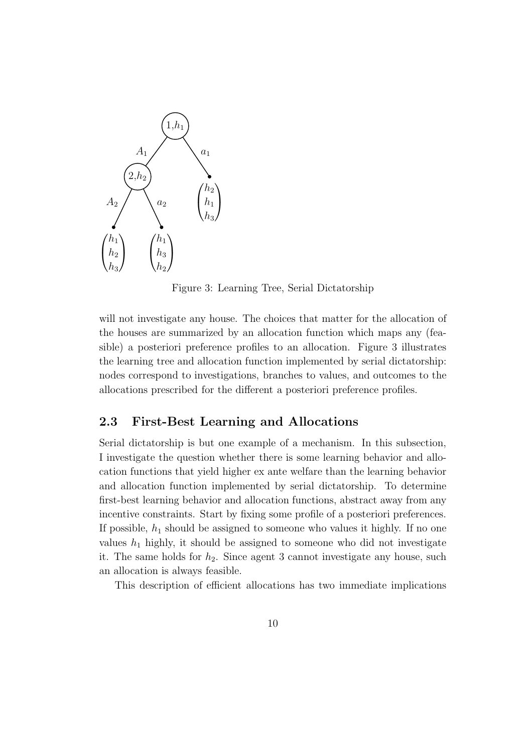

Figure 3: Learning Tree, Serial Dictatorship

will not investigate any house. The choices that matter for the allocation of the houses are summarized by an allocation function which maps any (feasible) a posteriori preference profiles to an allocation. Figure 3 illustrates the learning tree and allocation function implemented by serial dictatorship: nodes correspond to investigations, branches to values, and outcomes to the allocations prescribed for the different a posteriori preference profiles.

### 2.3 First-Best Learning and Allocations

Serial dictatorship is but one example of a mechanism. In this subsection, I investigate the question whether there is some learning behavior and allocation functions that yield higher ex ante welfare than the learning behavior and allocation function implemented by serial dictatorship. To determine first-best learning behavior and allocation functions, abstract away from any incentive constraints. Start by fixing some profile of a posteriori preferences. If possible,  $h_1$  should be assigned to someone who values it highly. If no one values  $h_1$  highly, it should be assigned to someone who did not investigate it. The same holds for  $h_2$ . Since agent 3 cannot investigate any house, such an allocation is always feasible.

This description of efficient allocations has two immediate implications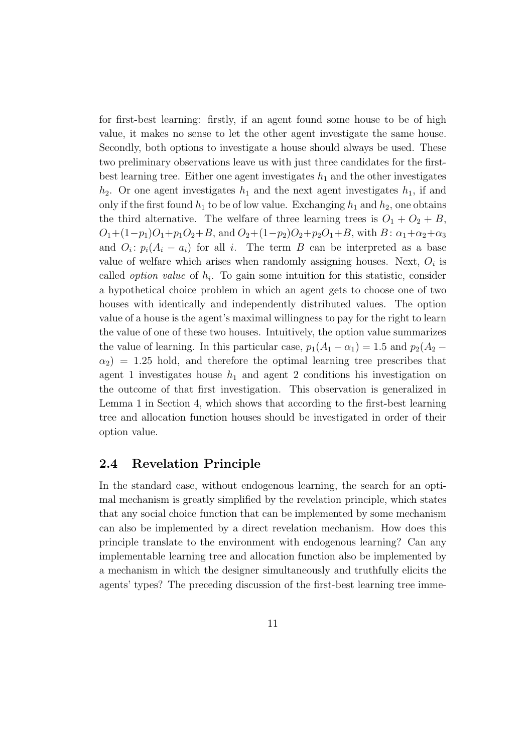for first-best learning: firstly, if an agent found some house to be of high value, it makes no sense to let the other agent investigate the same house. Secondly, both options to investigate a house should always be used. These two preliminary observations leave us with just three candidates for the firstbest learning tree. Either one agent investigates  $h_1$  and the other investigates  $h_2$ . Or one agent investigates  $h_1$  and the next agent investigates  $h_1$ , if and only if the first found  $h_1$  to be of low value. Exchanging  $h_1$  and  $h_2$ , one obtains the third alternative. The welfare of three learning trees is  $O_1 + O_2 + B$ ,  $O_1+(1-p_1)O_1+p_1O_2+B$ , and  $O_2+(1-p_2)O_2+p_2O_1+B$ , with  $B: \alpha_1+\alpha_2+\alpha_3$ and  $O_i$ :  $p_i(A_i - a_i)$  for all i. The term B can be interpreted as a base value of welfare which arises when randomly assigning houses. Next,  $O_i$  is called *option value* of  $h_i$ . To gain some intuition for this statistic, consider a hypothetical choice problem in which an agent gets to choose one of two houses with identically and independently distributed values. The option value of a house is the agent's maximal willingness to pay for the right to learn the value of one of these two houses. Intuitively, the option value summarizes the value of learning. In this particular case,  $p_1(A_1 - \alpha_1) = 1.5$  and  $p_2(A_2 \alpha_2$ ) = 1.25 hold, and therefore the optimal learning tree prescribes that agent 1 investigates house  $h_1$  and agent 2 conditions his investigation on the outcome of that first investigation. This observation is generalized in Lemma 1 in Section 4, which shows that according to the first-best learning tree and allocation function houses should be investigated in order of their option value.

### 2.4 Revelation Principle

In the standard case, without endogenous learning, the search for an optimal mechanism is greatly simplified by the revelation principle, which states that any social choice function that can be implemented by some mechanism can also be implemented by a direct revelation mechanism. How does this principle translate to the environment with endogenous learning? Can any implementable learning tree and allocation function also be implemented by a mechanism in which the designer simultaneously and truthfully elicits the agents' types? The preceding discussion of the first-best learning tree imme-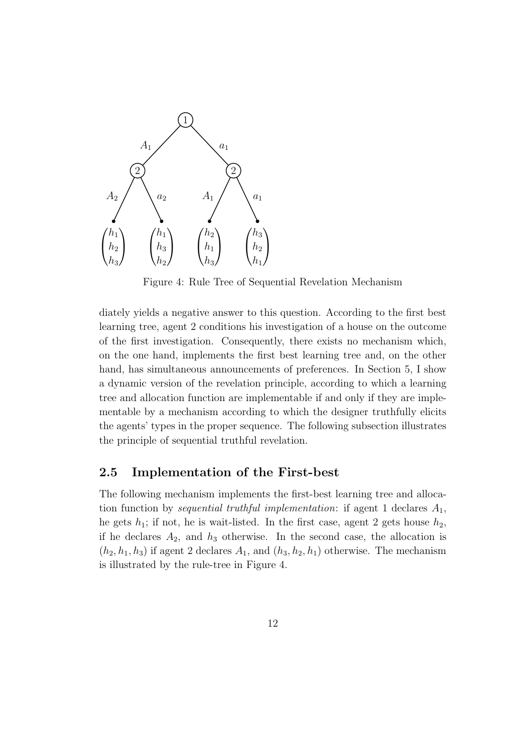

Figure 4: Rule Tree of Sequential Revelation Mechanism

diately yields a negative answer to this question. According to the first best learning tree, agent 2 conditions his investigation of a house on the outcome of the first investigation. Consequently, there exists no mechanism which, on the one hand, implements the first best learning tree and, on the other hand, has simultaneous announcements of preferences. In Section 5, I show a dynamic version of the revelation principle, according to which a learning tree and allocation function are implementable if and only if they are implementable by a mechanism according to which the designer truthfully elicits the agents' types in the proper sequence. The following subsection illustrates the principle of sequential truthful revelation.

#### 2.5 Implementation of the First-best

The following mechanism implements the first-best learning tree and allocation function by *sequential truthful implementation*: if agent 1 declares  $A_1$ , he gets  $h_1$ ; if not, he is wait-listed. In the first case, agent 2 gets house  $h_2$ , if he declares  $A_2$ , and  $h_3$  otherwise. In the second case, the allocation is  $(h_2, h_1, h_3)$  if agent 2 declares  $A_1$ , and  $(h_3, h_2, h_1)$  otherwise. The mechanism is illustrated by the rule-tree in Figure 4.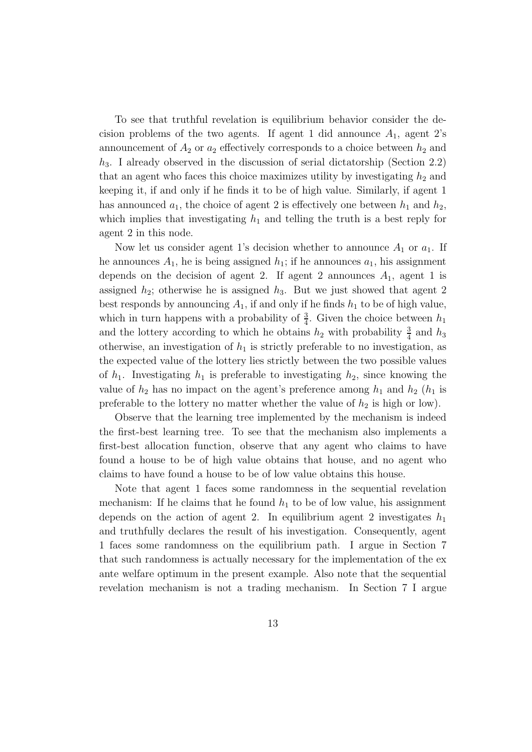To see that truthful revelation is equilibrium behavior consider the decision problems of the two agents. If agent 1 did announce  $A_1$ , agent 2's announcement of  $A_2$  or  $a_2$  effectively corresponds to a choice between  $h_2$  and  $h_3$ . I already observed in the discussion of serial dictatorship (Section 2.2) that an agent who faces this choice maximizes utility by investigating  $h_2$  and keeping it, if and only if he finds it to be of high value. Similarly, if agent 1 has announced  $a_1$ , the choice of agent 2 is effectively one between  $h_1$  and  $h_2$ , which implies that investigating  $h_1$  and telling the truth is a best reply for agent 2 in this node.

Now let us consider agent 1's decision whether to announce  $A_1$  or  $a_1$ . If he announces  $A_1$ , he is being assigned  $h_1$ ; if he announces  $a_1$ , his assignment depends on the decision of agent 2. If agent 2 announces  $A_1$ , agent 1 is assigned  $h_2$ ; otherwise he is assigned  $h_3$ . But we just showed that agent 2 best responds by announcing  $A_1$ , if and only if he finds  $h_1$  to be of high value, which in turn happens with a probability of  $\frac{3}{4}$ . Given the choice between  $h_1$ and the lottery according to which he obtains  $h_2$  with probability  $\frac{3}{4}$  and  $h_3$ otherwise, an investigation of  $h_1$  is strictly preferable to no investigation, as the expected value of the lottery lies strictly between the two possible values of  $h_1$ . Investigating  $h_1$  is preferable to investigating  $h_2$ , since knowing the value of  $h_2$  has no impact on the agent's preference among  $h_1$  and  $h_2$  ( $h_1$  is preferable to the lottery no matter whether the value of  $h_2$  is high or low).

Observe that the learning tree implemented by the mechanism is indeed the first-best learning tree. To see that the mechanism also implements a first-best allocation function, observe that any agent who claims to have found a house to be of high value obtains that house, and no agent who claims to have found a house to be of low value obtains this house.

Note that agent 1 faces some randomness in the sequential revelation mechanism: If he claims that he found  $h_1$  to be of low value, his assignment depends on the action of agent 2. In equilibrium agent 2 investigates  $h_1$ and truthfully declares the result of his investigation. Consequently, agent 1 faces some randomness on the equilibrium path. I argue in Section 7 that such randomness is actually necessary for the implementation of the ex ante welfare optimum in the present example. Also note that the sequential revelation mechanism is not a trading mechanism. In Section 7 I argue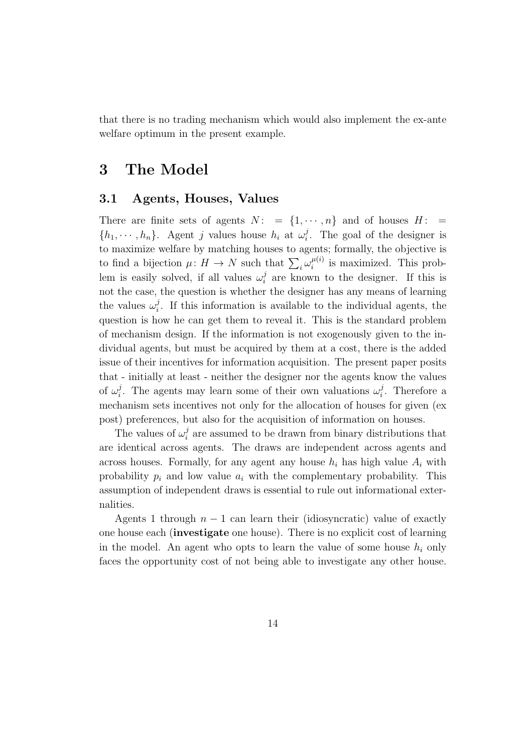that there is no trading mechanism which would also implement the ex-ante welfare optimum in the present example.

### 3 The Model

### 3.1 Agents, Houses, Values

There are finite sets of agents  $N: = \{1, \dots, n\}$  and of houses  $H: =$  $\{h_1, \dots, h_n\}$ . Agent j values house  $h_i$  at  $\omega_i^j$  $i<sup>j</sup>$ . The goal of the designer is to maximize welfare by matching houses to agents; formally, the objective is to find a bijection  $\mu: H \to N$  such that  $\sum_i \omega_i^{\mu(i)}$  $\mu^{(i)}_i$  is maximized. This problem is easily solved, if all values  $\omega_i^j$  $i$  are known to the designer. If this is not the case, the question is whether the designer has any means of learning the values  $\omega_i^j$  $i<sub>i</sub>$ . If this information is available to the individual agents, the question is how he can get them to reveal it. This is the standard problem of mechanism design. If the information is not exogenously given to the individual agents, but must be acquired by them at a cost, there is the added issue of their incentives for information acquisition. The present paper posits that - initially at least - neither the designer nor the agents know the values of  $\omega_i^j$ <sup>j</sup>. The agents may learn some of their own valuations  $\omega_i^j$  $i$ . Therefore a mechanism sets incentives not only for the allocation of houses for given (ex post) preferences, but also for the acquisition of information on houses.

The values of  $\omega_i^j$  $i$  are assumed to be drawn from binary distributions that are identical across agents. The draws are independent across agents and across houses. Formally, for any agent any house  $h_i$  has high value  $A_i$  with probability  $p_i$  and low value  $a_i$  with the complementary probability. This assumption of independent draws is essential to rule out informational externalities.

Agents 1 through  $n-1$  can learn their (idiosyncratic) value of exactly one house each (investigate one house). There is no explicit cost of learning in the model. An agent who opts to learn the value of some house  $h_i$  only faces the opportunity cost of not being able to investigate any other house.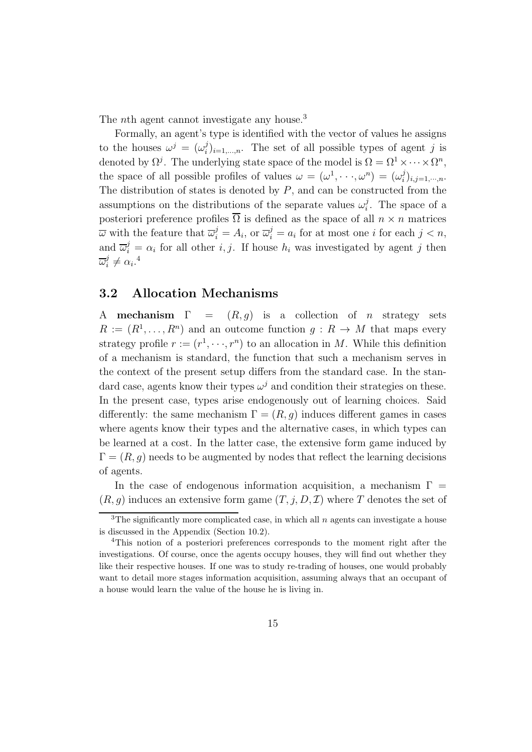The *nth* agent cannot investigate any house.<sup>3</sup>

Formally, an agent's type is identified with the vector of values he assigns to the houses  $\omega^j = (\omega_i^j)$  $i_{i}^{j}$ <sub>i</sub>,...,n. The set of all possible types of agent j is denoted by  $\Omega^j$ . The underlying state space of the model is  $\Omega = \Omega^1 \times \cdots \times \Omega^n$ , the space of all possible profiles of values  $\omega = (\omega^1, \dots, \omega^n) = (\omega_i^j)$  $i^{j}$ <sub>i</sub>,j=1,...,n. The distribution of states is denoted by  $P$ , and can be constructed from the assumptions on the distributions of the separate values  $\omega_i^j$  $i<sup>j</sup>$ . The space of a posteriori preference profiles  $\overline{\Omega}$  is defined as the space of all  $n \times n$  matrices  $\overline{\omega}$  with the feature that  $\overline{\omega}_i^j = A_i$ , or  $\overline{\omega}_i^j = a_i$  for at most one *i* for each  $j < n$ , and  $\overline{\omega}_i^j = \alpha_i$  for all other *i*, *j*. If house  $h_i$  was investigated by agent *j* then  $\overline{\omega}^j_i$  $i^j \neq \alpha_i$ .<sup>4</sup>

### 3.2 Allocation Mechanisms

A mechanism  $\Gamma = (R, g)$  is a collection of *n* strategy sets  $R := (R^1, \ldots, R^n)$  and an outcome function  $g : R \to M$  that maps every strategy profile  $r := (r^1, \dots, r^n)$  to an allocation in M. While this definition of a mechanism is standard, the function that such a mechanism serves in the context of the present setup differs from the standard case. In the standard case, agents know their types  $\omega^j$  and condition their strategies on these. In the present case, types arise endogenously out of learning choices. Said differently: the same mechanism  $\Gamma = (R, g)$  induces different games in cases where agents know their types and the alternative cases, in which types can be learned at a cost. In the latter case, the extensive form game induced by  $\Gamma = (R, g)$  needs to be augmented by nodes that reflect the learning decisions of agents.

In the case of endogenous information acquisition, a mechanism  $\Gamma =$  $(R, g)$  induces an extensive form game  $(T, j, D, \mathcal{I})$  where T denotes the set of

<sup>&</sup>lt;sup>3</sup>The significantly more complicated case, in which all  $n$  agents can investigate a house is discussed in the Appendix (Section 10.2).

<sup>4</sup>This notion of a posteriori preferences corresponds to the moment right after the investigations. Of course, once the agents occupy houses, they will find out whether they like their respective houses. If one was to study re-trading of houses, one would probably want to detail more stages information acquisition, assuming always that an occupant of a house would learn the value of the house he is living in.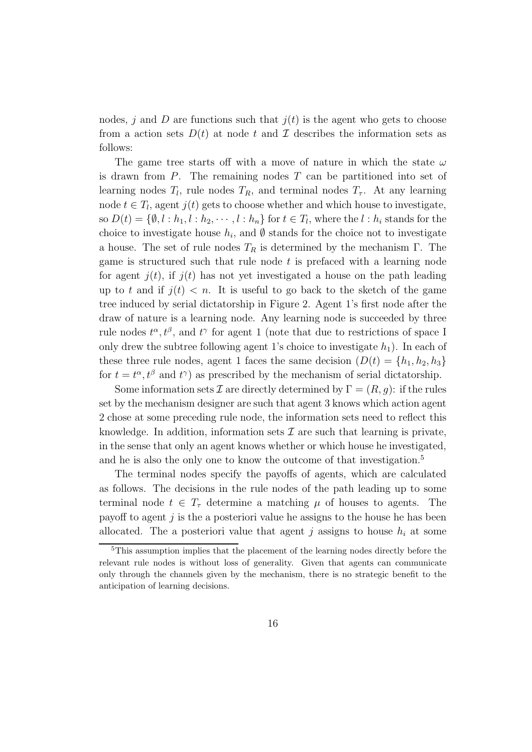nodes, j and D are functions such that  $j(t)$  is the agent who gets to choose from a action sets  $D(t)$  at node t and I describes the information sets as follows:

The game tree starts off with a move of nature in which the state  $\omega$ is drawn from  $P$ . The remaining nodes  $T$  can be partitioned into set of learning nodes  $T_l$ , rule nodes  $T_R$ , and terminal nodes  $T_{\tau}$ . At any learning node  $t \in T_l$ , agent  $j(t)$  gets to choose whether and which house to investigate, so  $D(t) = \{\emptyset, l : h_1, l : h_2, \cdots, l : h_n\}$  for  $t \in T_l$ , where the  $l : h_i$  stands for the choice to investigate house  $h_i$ , and  $\emptyset$  stands for the choice not to investigate a house. The set of rule nodes  $T_R$  is determined by the mechanism  $\Gamma$ . The game is structured such that rule node  $t$  is prefaced with a learning node for agent  $j(t)$ , if  $j(t)$  has not yet investigated a house on the path leading up to t and if  $j(t) < n$ . It is useful to go back to the sketch of the game tree induced by serial dictatorship in Figure 2. Agent 1's first node after the draw of nature is a learning node. Any learning node is succeeded by three rule nodes  $t^{\alpha}, t^{\beta}$ , and  $t^{\gamma}$  for agent 1 (note that due to restrictions of space I only drew the subtree following agent 1's choice to investigate  $h_1$ ). In each of these three rule nodes, agent 1 faces the same decision  $(D(t) = \{h_1, h_2, h_3\})$ for  $t = t^{\alpha}, t^{\beta}$  and  $t^{\gamma}$  as prescribed by the mechanism of serial dictatorship.

Some information sets  $\mathcal I$  are directly determined by  $\Gamma = (R, q)$ : if the rules set by the mechanism designer are such that agent 3 knows which action agent 2 chose at some preceding rule node, the information sets need to reflect this knowledge. In addition, information sets  $\mathcal I$  are such that learning is private, in the sense that only an agent knows whether or which house he investigated, and he is also the only one to know the outcome of that investigation.<sup>5</sup>

The terminal nodes specify the payoffs of agents, which are calculated as follows. The decisions in the rule nodes of the path leading up to some terminal node  $t \in T_{\tau}$  determine a matching  $\mu$  of houses to agents. The payoff to agent  $j$  is the a posteriori value he assigns to the house he has been allocated. The a posteriori value that agent j assigns to house  $h_i$  at some

<sup>5</sup>This assumption implies that the placement of the learning nodes directly before the relevant rule nodes is without loss of generality. Given that agents can communicate only through the channels given by the mechanism, there is no strategic benefit to the anticipation of learning decisions.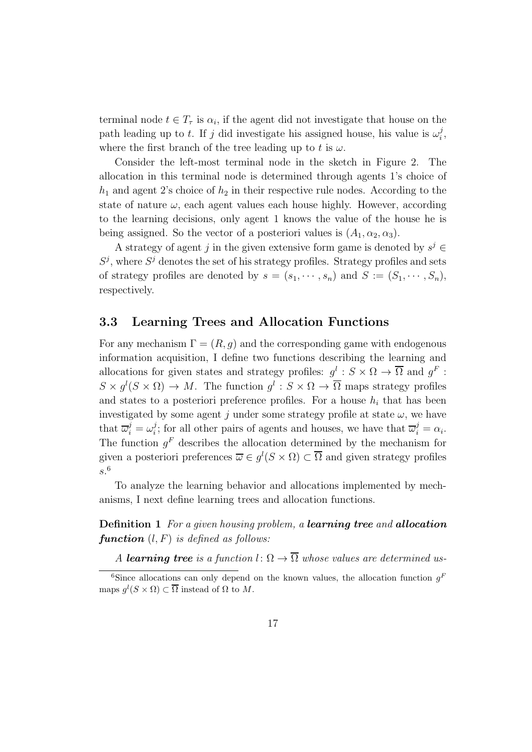terminal node  $t \in T_{\tau}$  is  $\alpha_i$ , if the agent did not investigate that house on the path leading up to t. If j did investigate his assigned house, his value is  $\omega_i^j$  $\frac{j}{i}$ , where the first branch of the tree leading up to t is  $\omega$ .

Consider the left-most terminal node in the sketch in Figure 2. The allocation in this terminal node is determined through agents 1's choice of  $h_1$  and agent 2's choice of  $h_2$  in their respective rule nodes. According to the state of nature  $\omega$ , each agent values each house highly. However, according to the learning decisions, only agent 1 knows the value of the house he is being assigned. So the vector of a posteriori values is  $(A_1, \alpha_2, \alpha_3)$ .

A strategy of agent j in the given extensive form game is denoted by  $s^j \in$  $S^j$ , where  $S^j$  denotes the set of his strategy profiles. Strategy profiles and sets of strategy profiles are denoted by  $s = (s_1, \dots, s_n)$  and  $S := (S_1, \dots, S_n)$ , respectively.

### 3.3 Learning Trees and Allocation Functions

For any mechanism  $\Gamma = (R, g)$  and the corresponding game with endogenous information acquisition, I define two functions describing the learning and allocations for given states and strategy profiles:  $g^l : S \times \Omega \to \overline{\Omega}$  and  $g^F$ :  $S \times g^l(S \times \Omega) \to M$ . The function  $g^l: S \times \Omega \to \overline{\Omega}$  maps strategy profiles and states to a posteriori preference profiles. For a house  $h_i$  that has been investigated by some agent j under some strategy profile at state  $\omega$ , we have that  $\overline{\omega}_i^j = \omega_i^j$ <sup>j</sup>; for all other pairs of agents and houses, we have that  $\overline{\omega}_i^j = \alpha_i$ . The function  $g<sup>F</sup>$  describes the allocation determined by the mechanism for given a posteriori preferences  $\overline{\omega} \in g^{l}(S \times \Omega) \subset \overline{\Omega}$  and given strategy profiles s. 6

To analyze the learning behavior and allocations implemented by mechanisms, I next define learning trees and allocation functions.

Definition 1 *For a given housing problem, a* learning tree *and* allocation **function**  $(l, F)$  *is defined as follows:* 

*A* learning tree is a function  $l: \Omega \to \overline{\Omega}$  whose values are determined us-

<sup>&</sup>lt;sup>6</sup>Since allocations can only depend on the known values, the allocation function  $g<sup>F</sup>$ maps  $g^l(S \times \Omega) \subset \overline{\Omega}$  instead of  $\Omega$  to M.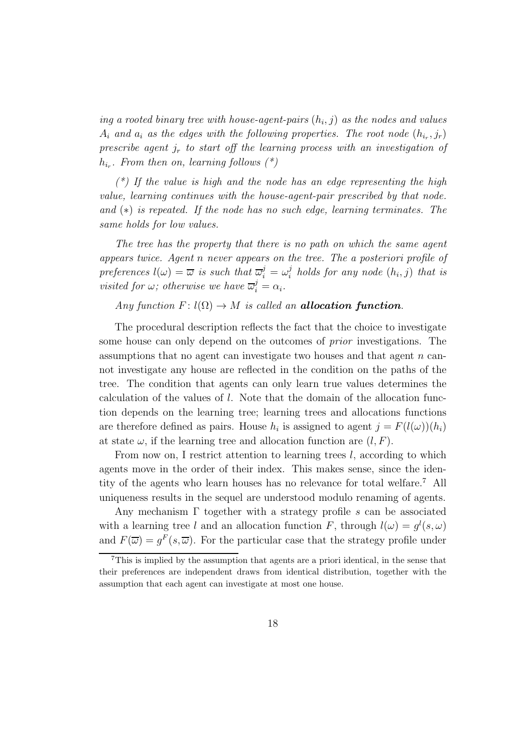$ing\ a\ rooted\ binary\ tree\ with\ house-agent-pairs\  $(h_i, j)$ \ as\ the\ nodes\ and\ values$  $A_i$  and  $a_i$  as the edges with the following properties. The root node  $(h_{i_r}, j_r)$ *prescribe agent*  $j_r$  *to start off the learning process with an investigation of*  $h_{i_r}$ . From then on, learning follows  $(*)$ 

*(\*) If the value is high and the node has an edge representing the high value, learning continues with the house-agent-pair prescribed by that node. and* (∗) *is repeated. If the node has no such edge, learning terminates. The same holds for low values.*

*The tree has the property that there is no path on which the same agent appears twice. Agent* n *never appears on the tree. The a posteriori profile of preferences*  $l(\omega) = \overline{\omega}$  *is such that*  $\overline{\omega}_i^j = \omega_i^j$  $\int_i^j$  holds for any node  $(h_i, j)$  that is *visited for*  $\omega$ ; *otherwise we have*  $\overline{\omega}_i^j = \alpha_i$ .

#### *Any function*  $F: l(\Omega) \to M$  *is called an allocation function.*

The procedural description reflects the fact that the choice to investigate some house can only depend on the outcomes of *prior* investigations. The assumptions that no agent can investigate two houses and that agent n cannot investigate any house are reflected in the condition on the paths of the tree. The condition that agents can only learn true values determines the calculation of the values of l. Note that the domain of the allocation function depends on the learning tree; learning trees and allocations functions are therefore defined as pairs. House  $h_i$  is assigned to agent  $j = F(l(\omega))(h_i)$ at state  $\omega$ , if the learning tree and allocation function are  $(l, F)$ .

From now on, I restrict attention to learning trees  $l$ , according to which agents move in the order of their index. This makes sense, since the identity of the agents who learn houses has no relevance for total welfare.<sup>7</sup> All uniqueness results in the sequel are understood modulo renaming of agents.

Any mechanism  $\Gamma$  together with a strategy profile s can be associated with a learning tree l and an allocation function F, through  $l(\omega) = g^{l}(s, \omega)$ and  $F(\overline{\omega}) = g^F(s, \overline{\omega})$ . For the particular case that the strategy profile under

<sup>7</sup>This is implied by the assumption that agents are a priori identical, in the sense that their preferences are independent draws from identical distribution, together with the assumption that each agent can investigate at most one house.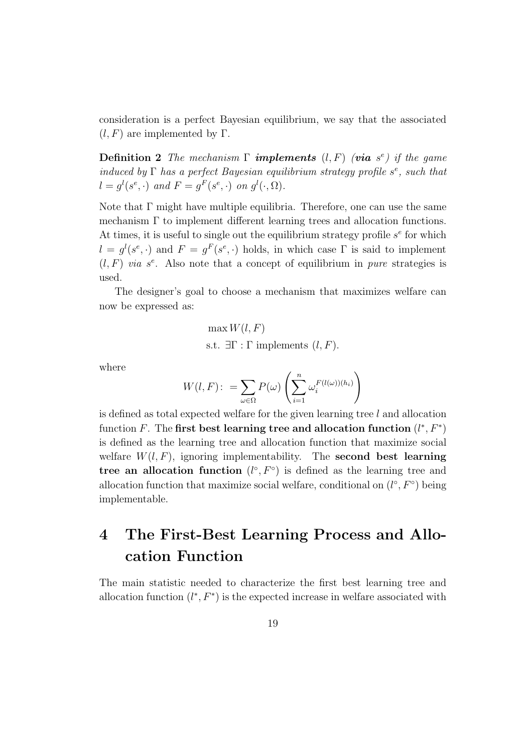consideration is a perfect Bayesian equilibrium, we say that the associated  $(l, F)$  are implemented by Γ.

**Definition 2** The mechanism  $\Gamma$  **implements**  $(l, F)$  (**via**  $s^e$ ) if the game *induced by* Γ *has a perfect Bayesian equilibrium strategy profile*  $s^e$ , such that  $l = g^l(s^e, \cdot)$  and  $F = g^F(s^e, \cdot)$  on  $g^l(\cdot, \Omega)$ .

Note that  $\Gamma$  might have multiple equilibria. Therefore, one can use the same mechanism Γ to implement different learning trees and allocation functions. At times, it is useful to single out the equilibrium strategy profile  $s<sup>e</sup>$  for which  $l = g^{l}(s^{e},.)$  and  $F = g^{F}(s^{e},.)$  holds, in which case  $\Gamma$  is said to implement  $(l, F)$  *via*  $s^e$ . Also note that a concept of equilibrium in *pure* strategies is used.

The designer's goal to choose a mechanism that maximizes welfare can now be expressed as:

> $\max W(l, F)$ s.t.  $\exists \Gamma : \Gamma$  implements  $(l, F)$ .

where

$$
W(l, F) : = \sum_{\omega \in \Omega} P(\omega) \left( \sum_{i=1}^{n} \omega_i^{F(l(\omega))(h_i)} \right)
$$

is defined as total expected welfare for the given learning tree  $l$  and allocation function F. The first best learning tree and allocation function  $(l^*, F^*)$ is defined as the learning tree and allocation function that maximize social welfare  $W(l, F)$ , ignoring implementability. The **second best learning** tree an allocation function  $(l^{\circ}, F^{\circ})$  is defined as the learning tree and allocation function that maximize social welfare, conditional on  $(l^{\circ}, F^{\circ})$  being implementable.

## 4 The First-Best Learning Process and Allocation Function

The main statistic needed to characterize the first best learning tree and allocation function  $(l^*, F^*)$  is the expected increase in welfare associated with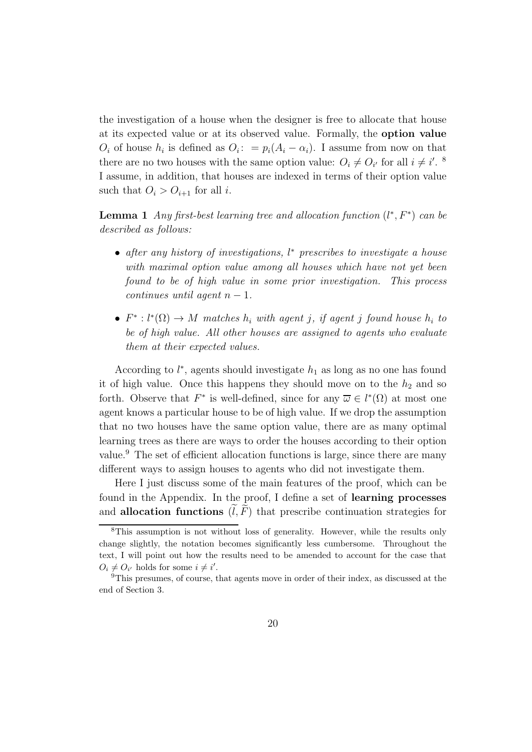the investigation of a house when the designer is free to allocate that house at its expected value or at its observed value. Formally, the option value  $O_i$  of house  $h_i$  is defined as  $O_i: = p_i(A_i - \alpha_i)$ . I assume from now on that there are no two houses with the same option value:  $O_i \neq O_{i'}$  for all  $i \neq i'$ . <sup>8</sup> I assume, in addition, that houses are indexed in terms of their option value such that  $O_i > O_{i+1}$  for all i.

**Lemma 1** *Any first-best learning tree and allocation function*  $(l^*, F^*)$  *can be described as follows:*

- *after any history of investigations,* l <sup>∗</sup> *prescribes to investigate a house with maximal option value among all houses which have not yet been found to be of high value in some prior investigation. This process continues until agent*  $n-1$ *.*
- $F^*: l^*(\Omega) \to M$  matches  $h_i$  with agent *j*, if agent *j* found house  $h_i$  to *be of high value. All other houses are assigned to agents who evaluate them at their expected values.*

According to  $l^*$ , agents should investigate  $h_1$  as long as no one has found it of high value. Once this happens they should move on to the  $h_2$  and so forth. Observe that  $F^*$  is well-defined, since for any  $\overline{\omega} \in l^*(\Omega)$  at most one agent knows a particular house to be of high value. If we drop the assumption that no two houses have the same option value, there are as many optimal learning trees as there are ways to order the houses according to their option value.<sup>9</sup> The set of efficient allocation functions is large, since there are many different ways to assign houses to agents who did not investigate them.

Here I just discuss some of the main features of the proof, which can be found in the Appendix. In the proof, I define a set of learning processes and allocation functions  $(l, \overline{F})$  that prescribe continuation strategies for

<sup>8</sup>This assumption is not without loss of generality. However, while the results only change slightly, the notation becomes significantly less cumbersome. Throughout the text, I will point out how the results need to be amended to account for the case that  $O_i \neq O_{i'}$  holds for some  $i \neq i'$ .

<sup>&</sup>lt;sup>9</sup>This presumes, of course, that agents move in order of their index, as discussed at the end of Section 3.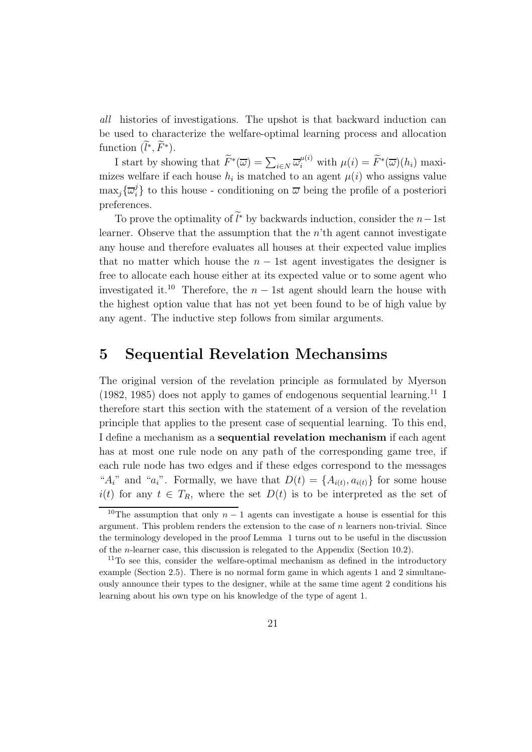*all* histories of investigations. The upshot is that backward induction can be used to characterize the welfare-optimal learning process and allocation function  $(l^*, \tilde{F}^*)$ .

I start by showing that  $\widetilde{F}^*(\overline{\omega}) = \sum_{i \in N} \overline{\omega}_i^{\mu(i)}$  with  $\mu(i) = \widetilde{F}^*(\overline{\omega})(h_i)$  maximizes welfare if each house  $h_i$  is matched to an agent  $\mu(i)$  who assigns value  $\max_j\{\overline{\omega}_i^j$  $\mathbb{Z}_i^j$  to this house - conditioning on  $\overline{\omega}$  being the profile of a posteriori preferences.

To prove the optimality of  $\tilde{l}^*$  by backwards induction, consider the  $n-1$ st learner. Observe that the assumption that the  $n<sup>th</sup>$  agent cannot investigate any house and therefore evaluates all houses at their expected value implies that no matter which house the  $n - 1$ st agent investigates the designer is free to allocate each house either at its expected value or to some agent who investigated it.<sup>10</sup> Therefore, the  $n-1$ st agent should learn the house with the highest option value that has not yet been found to be of high value by any agent. The inductive step follows from similar arguments.

### 5 Sequential Revelation Mechansims

The original version of the revelation principle as formulated by Myerson  $(1982, 1985)$  does not apply to games of endogenous sequential learning.<sup>11</sup> I therefore start this section with the statement of a version of the revelation principle that applies to the present case of sequential learning. To this end, I define a mechanism as a sequential revelation mechanism if each agent has at most one rule node on any path of the corresponding game tree, if each rule node has two edges and if these edges correspond to the messages " $A_i$ " and " $a_i$ ". Formally, we have that  $D(t) = \{A_{i(t)}, a_{i(t)}\}$  for some house  $i(t)$  for any  $t \in T_R$ , where the set  $D(t)$  is to be interpreted as the set of

<sup>&</sup>lt;sup>10</sup>The assumption that only  $n-1$  agents can investigate a house is essential for this argument. This problem renders the extension to the case of  $n$  learners non-trivial. Since the terminology developed in the proof Lemma 1 turns out to be useful in the discussion of the *n*-learner case, this discussion is relegated to the Appendix (Section 10.2).

<sup>&</sup>lt;sup>11</sup>To see this, consider the welfare-optimal mechanism as defined in the introductory example (Section 2.5). There is no normal form game in which agents 1 and 2 simultaneously announce their types to the designer, while at the same time agent 2 conditions his learning about his own type on his knowledge of the type of agent 1.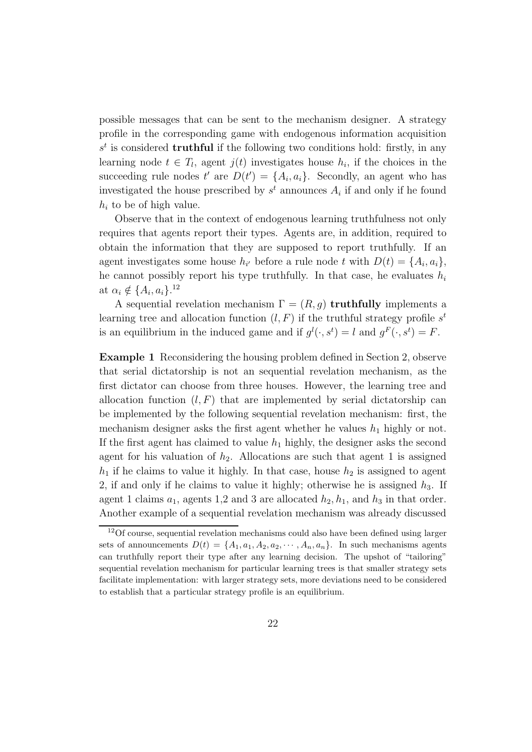possible messages that can be sent to the mechanism designer. A strategy profile in the corresponding game with endogenous information acquisition  $s<sup>t</sup>$  is considered **truthful** if the following two conditions hold: firstly, in any learning node  $t \in T_l$ , agent  $j(t)$  investigates house  $h_i$ , if the choices in the succeeding rule nodes  $t'$  are  $D(t') = \{A_i, a_i\}$ . Secondly, an agent who has investigated the house prescribed by  $s^t$  announces  $A_i$  if and only if he found  $h_i$  to be of high value.

Observe that in the context of endogenous learning truthfulness not only requires that agents report their types. Agents are, in addition, required to obtain the information that they are supposed to report truthfully. If an agent investigates some house  $h_{i'}$  before a rule node t with  $D(t) = \{A_i, a_i\},\$ he cannot possibly report his type truthfully. In that case, he evaluates  $h_i$ at  $\alpha_i \notin \{A_i, a_i\}.^{12}$ 

A sequential revelation mechanism  $\Gamma = (R, g)$  truthfully implements a learning tree and allocation function  $(l, F)$  if the truthful strategy profile  $s<sup>t</sup>$ is an equilibrium in the induced game and if  $g^{l}(\cdot, s^{t}) = l$  and  $g^{F}(\cdot, s^{t}) = F$ .

Example 1 Reconsidering the housing problem defined in Section 2, observe that serial dictatorship is not an sequential revelation mechanism, as the first dictator can choose from three houses. However, the learning tree and allocation function  $(l, F)$  that are implemented by serial dictatorship can be implemented by the following sequential revelation mechanism: first, the mechanism designer asks the first agent whether he values  $h_1$  highly or not. If the first agent has claimed to value  $h_1$  highly, the designer asks the second agent for his valuation of  $h_2$ . Allocations are such that agent 1 is assigned  $h_1$  if he claims to value it highly. In that case, house  $h_2$  is assigned to agent 2, if and only if he claims to value it highly; otherwise he is assigned  $h_3$ . If agent 1 claims  $a_1$ , agents 1,2 and 3 are allocated  $h_2$ ,  $h_1$ , and  $h_3$  in that order. Another example of a sequential revelation mechanism was already discussed

<sup>&</sup>lt;sup>12</sup>Of course, sequential revelation mechanisms could also have been defined using larger sets of announcements  $D(t) = \{A_1, a_1, A_2, a_2, \cdots, A_n, a_n\}$ . In such mechanisms agents can truthfully report their type after any learning decision. The upshot of "tailoring" sequential revelation mechanism for particular learning trees is that smaller strategy sets facilitate implementation: with larger strategy sets, more deviations need to be considered to establish that a particular strategy profile is an equilibrium.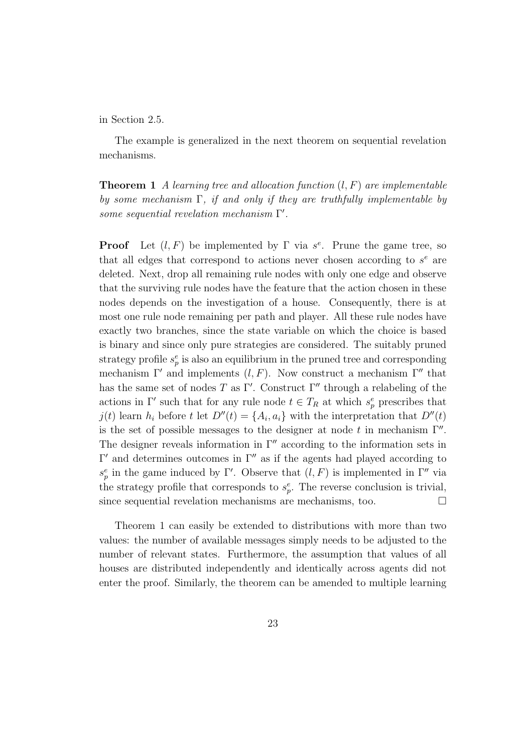#### in Section 2.5.

The example is generalized in the next theorem on sequential revelation mechanisms.

Theorem 1 *A learning tree and allocation function* (l, F) *are implementable by some mechanism* Γ*, if and only if they are truthfully implementable by some sequential revelation mechanism* Γ ′ *.*

**Proof** Let  $(l, F)$  be implemented by  $\Gamma$  via  $s^e$ . Prune the game tree, so that all edges that correspond to actions never chosen according to  $s^e$  are deleted. Next, drop all remaining rule nodes with only one edge and observe that the surviving rule nodes have the feature that the action chosen in these nodes depends on the investigation of a house. Consequently, there is at most one rule node remaining per path and player. All these rule nodes have exactly two branches, since the state variable on which the choice is based is binary and since only pure strategies are considered. The suitably pruned strategy profile  $s_p^e$  is also an equilibrium in the pruned tree and corresponding mechanism  $\Gamma'$  and implements  $(l, F)$ . Now construct a mechanism  $\Gamma''$  that has the same set of nodes T as Γ'. Construct  $\Gamma''$  through a relabeling of the actions in Γ' such that for any rule node  $t \in T_R$  at which  $s_p^e$  prescribes that  $j(t)$  learn  $h_i$  before t let  $D''(t) = \{A_i, a_i\}$  with the interpretation that  $D''(t)$ is the set of possible messages to the designer at node t in mechanism  $\Gamma''$ . The designer reveals information in  $\Gamma''$  according to the information sets in  $Γ'$  and determines outcomes in  $Γ''$  as if the agents had played according to  $s_p^e$  in the game induced by Γ'. Observe that  $(l, F)$  is implemented in Γ'' via the strategy profile that corresponds to  $s_p^e$ . The reverse conclusion is trivial, since sequential revelation mechanisms are mechanisms, too.  $\Box$ 

Theorem 1 can easily be extended to distributions with more than two values: the number of available messages simply needs to be adjusted to the number of relevant states. Furthermore, the assumption that values of all houses are distributed independently and identically across agents did not enter the proof. Similarly, the theorem can be amended to multiple learning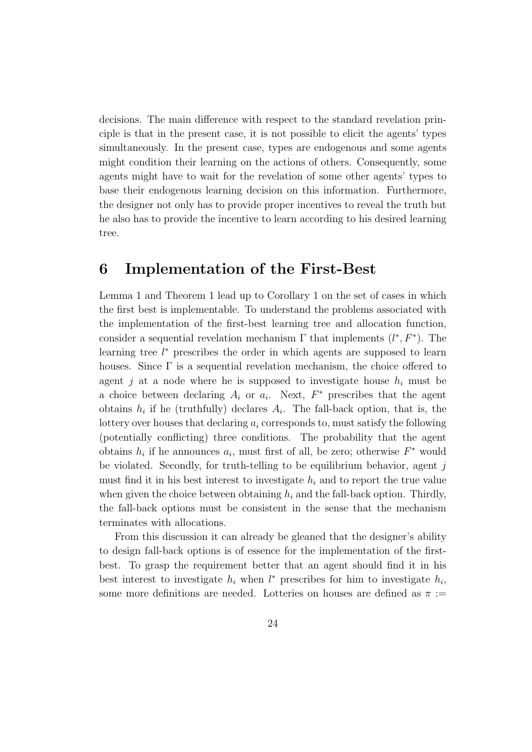decisions. The main difference with respect to the standard revelation principle is that in the present case, it is not possible to elicit the agents' types simultaneously. In the present case, types are endogenous and some agents might condition their learning on the actions of others. Consequently, some agents might have to wait for the revelation of some other agents' types to base their endogenous learning decision on this information. Furthermore, the designer not only has to provide proper incentives to reveal the truth but he also has to provide the incentive to learn according to his desired learning tree.

### 6 Implementation of the First-Best

Lemma 1 and Theorem 1 lead up to Corollary 1 on the set of cases in which the first best is implementable. To understand the problems associated with the implementation of the first-best learning tree and allocation function, consider a sequential revelation mechanism  $\Gamma$  that implements  $(l^*, F^*)$ . The learning tree  $l^*$  prescribes the order in which agents are supposed to learn houses. Since  $\Gamma$  is a sequential revelation mechanism, the choice offered to agent j at a node where he is supposed to investigate house  $h_i$  must be a choice between declaring  $A_i$  or  $a_i$ . Next,  $F^*$  prescribes that the agent obtains  $h_i$  if he (truthfully) declares  $A_i$ . The fall-back option, that is, the lottery over houses that declaring  $a_i$  corresponds to, must satisfy the following (potentially conflicting) three conditions. The probability that the agent obtains  $h_i$  if he announces  $a_i$ , must first of all, be zero; otherwise  $F^*$  would be violated. Secondly, for truth-telling to be equilibrium behavior, agent  $j$ must find it in his best interest to investigate  $h_i$  and to report the true value when given the choice between obtaining  $h_i$  and the fall-back option. Thirdly, the fall-back options must be consistent in the sense that the mechanism terminates with allocations.

From this discussion it can already be gleaned that the designer's ability to design fall-back options is of essence for the implementation of the firstbest. To grasp the requirement better that an agent should find it in his best interest to investigate  $h_i$  when  $l^*$  prescribes for him to investigate  $h_i$ , some more definitions are needed. Lotteries on houses are defined as  $\pi$  :=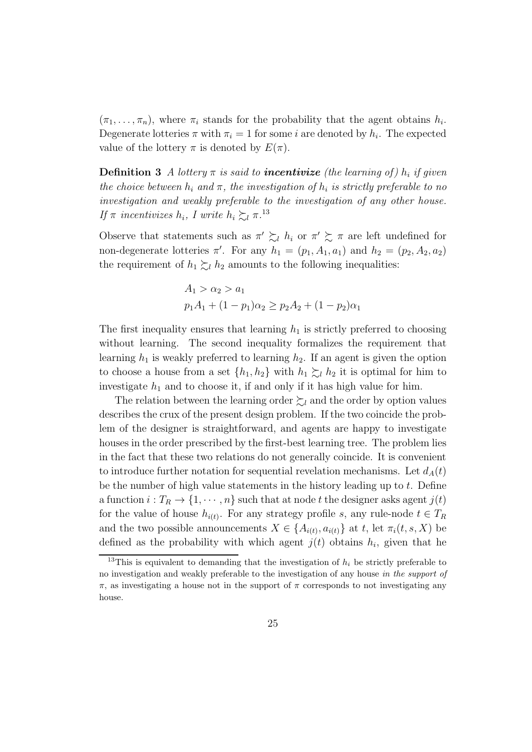$(\pi_1, \ldots, \pi_n)$ , where  $\pi_i$  stands for the probability that the agent obtains  $h_i$ . Degenerate lotteries  $\pi$  with  $\pi_i = 1$  for some i are denoted by  $h_i$ . The expected value of the lottery  $\pi$  is denoted by  $E(\pi)$ .

**Definition 3** *A* lottery  $\pi$  is said to **incentivize** (the learning of)  $h_i$  if given *the choice between*  $h_i$  *and*  $\pi$ *, the investigation of*  $h_i$  *is strictly preferable to no investigation and weakly preferable to the investigation of any other house. If*  $\pi$  *incentivizes*  $h_i$ , *I* write  $h_i \succsim_l \pi$ .<sup>13</sup>

Observe that statements such as  $\pi' \succeq_l h_i$  or  $\pi' \succeq \pi$  are left undefined for non-degenerate lotteries  $\pi'$ . For any  $h_1 = (p_1, A_1, a_1)$  and  $h_2 = (p_2, A_2, a_2)$ the requirement of  $h_1 \succsim_l h_2$  amounts to the following inequalities:

$$
A_1 > \alpha_2 > a_1
$$
  

$$
p_1 A_1 + (1 - p_1)\alpha_2 \ge p_2 A_2 + (1 - p_2)\alpha_1
$$

The first inequality ensures that learning  $h_1$  is strictly preferred to choosing without learning. The second inequality formalizes the requirement that learning  $h_1$  is weakly preferred to learning  $h_2$ . If an agent is given the option to choose a house from a set  $\{h_1, h_2\}$  with  $h_1 \succsim_l h_2$  it is optimal for him to investigate  $h_1$  and to choose it, if and only if it has high value for him.

The relation between the learning order  $\succsim_l$  and the order by option values describes the crux of the present design problem. If the two coincide the problem of the designer is straightforward, and agents are happy to investigate houses in the order prescribed by the first-best learning tree. The problem lies in the fact that these two relations do not generally coincide. It is convenient to introduce further notation for sequential revelation mechanisms. Let  $d_A(t)$ be the number of high value statements in the history leading up to t. Define a function  $i: T_R \to \{1, \cdots, n\}$  such that at node t the designer asks agent  $j(t)$ for the value of house  $h_{i(t)}$ . For any strategy profile s, any rule-node  $t \in T_R$ and the two possible announcements  $X \in \{A_{i(t)}, a_{i(t)}\}$  at t, let  $\pi_i(t, s, X)$  be defined as the probability with which agent  $j(t)$  obtains  $h_i$ , given that he

<sup>&</sup>lt;sup>13</sup>This is equivalent to demanding that the investigation of  $h_i$  be strictly preferable to no investigation and weakly preferable to the investigation of any house in the support of  $\pi$ , as investigating a house not in the support of  $\pi$  corresponds to not investigating any house.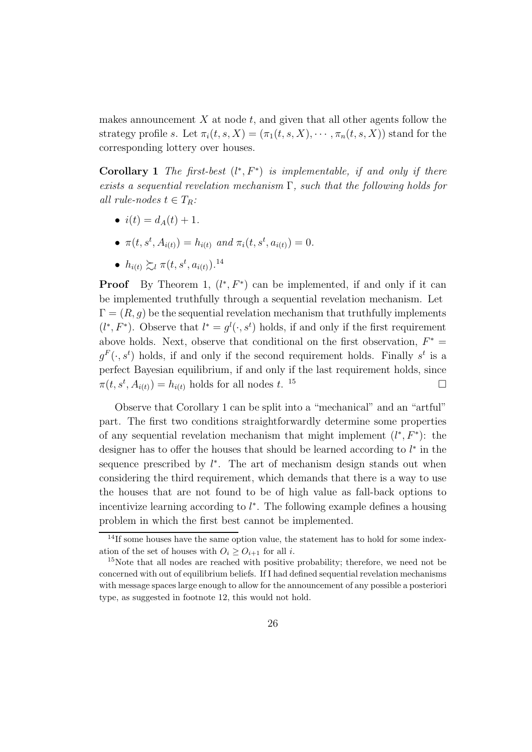makes announcement  $X$  at node  $t$ , and given that all other agents follow the strategy profile s. Let  $\pi_i(t, s, X) = (\pi_1(t, s, X), \cdots, \pi_n(t, s, X))$  stand for the corresponding lottery over houses.

Corollary 1 The first-best  $(l^*, F^*)$  is implementable, if and only if there *exists a sequential revelation mechanism* Γ*, such that the following holds for all rule-nodes*  $t \in T_R$ :

- $i(t) = d_A(t) + 1.$
- $\pi(t, s^t, A_{i(t)}) = h_{i(t)}$  and  $\pi_i(t, s^t, a_{i(t)}) = 0$ .
- $h_{i(t)} \succsim_l \pi(t, s^t, a_{i(t)})$ .<sup>14</sup>

**Proof** By Theorem 1,  $(l^*, F^*)$  can be implemented, if and only if it can be implemented truthfully through a sequential revelation mechanism. Let  $\Gamma = (R, q)$  be the sequential revelation mechanism that truthfully implements  $(l^*, F^*)$ . Observe that  $l^* = g^l(\cdot, s^t)$  holds, if and only if the first requirement above holds. Next, observe that conditional on the first observation,  $F^* =$  $g^F(\cdot, s^t)$  holds, if and only if the second requirement holds. Finally  $s^t$  is a perfect Bayesian equilibrium, if and only if the last requirement holds, since  $\pi(t, s^t, A_{i(t)}) = h_{i(t)}$  holds for all nodes t.  $15$ 

Observe that Corollary 1 can be split into a "mechanical" and an "artful" part. The first two conditions straightforwardly determine some properties of any sequential revelation mechanism that might implement  $(l^*, F^*)$ : the designer has to offer the houses that should be learned according to  $l^*$  in the sequence prescribed by  $l^*$ . The art of mechanism design stands out when considering the third requirement, which demands that there is a way to use the houses that are not found to be of high value as fall-back options to incentivize learning according to  $l^*$ . The following example defines a housing problem in which the first best cannot be implemented.

<sup>&</sup>lt;sup>14</sup>If some houses have the same option value, the statement has to hold for some indexation of the set of houses with  $O_i > O_{i+1}$  for all i.

<sup>&</sup>lt;sup>15</sup>Note that all nodes are reached with positive probability; therefore, we need not be concerned with out of equilibrium beliefs. If I had defined sequential revelation mechanisms with message spaces large enough to allow for the announcement of any possible a posteriori type, as suggested in footnote 12, this would not hold.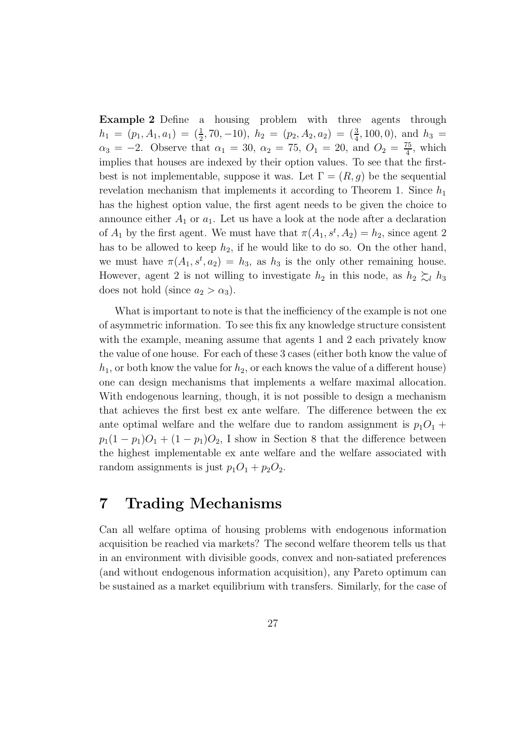Example 2 Define a housing problem with three agents through  $h_1 = (p_1, A_1, a_1) = (\frac{1}{2}, 70, -10), h_2 = (p_2, A_2, a_2) = (\frac{3}{4}, 100, 0), \text{ and } h_3 =$  $\alpha_3 = -2$ . Observe that  $\alpha_1 = 30$ ,  $\alpha_2 = 75$ ,  $O_1 = 20$ , and  $O_2 = \frac{75}{4}$  $\frac{75}{4}$ , which implies that houses are indexed by their option values. To see that the firstbest is not implementable, suppose it was. Let  $\Gamma = (R, g)$  be the sequential revelation mechanism that implements it according to Theorem 1. Since  $h_1$ has the highest option value, the first agent needs to be given the choice to announce either  $A_1$  or  $a_1$ . Let us have a look at the node after a declaration of  $A_1$  by the first agent. We must have that  $\pi(A_1, s^t, A_2) = h_2$ , since agent 2 has to be allowed to keep  $h_2$ , if he would like to do so. On the other hand, we must have  $\pi(A_1, s^t, a_2) = h_3$ , as  $h_3$  is the only other remaining house. However, agent 2 is not willing to investigate  $h_2$  in this node, as  $h_2 \succsim_l h_3$ does not hold (since  $a_2 > \alpha_3$ ).

What is important to note is that the inefficiency of the example is not one of asymmetric information. To see this fix any knowledge structure consistent with the example, meaning assume that agents 1 and 2 each privately know the value of one house. For each of these 3 cases (either both know the value of  $h_1$ , or both know the value for  $h_2$ , or each knows the value of a different house) one can design mechanisms that implements a welfare maximal allocation. With endogenous learning, though, it is not possible to design a mechanism that achieves the first best ex ante welfare. The difference between the ex ante optimal welfare and the welfare due to random assignment is  $p_1O_1$  +  $p_1(1-p_1)O_1 + (1-p_1)O_2$ , I show in Section 8 that the difference between the highest implementable ex ante welfare and the welfare associated with random assignments is just  $p_1O_1 + p_2O_2$ .

### 7 Trading Mechanisms

Can all welfare optima of housing problems with endogenous information acquisition be reached via markets? The second welfare theorem tells us that in an environment with divisible goods, convex and non-satiated preferences (and without endogenous information acquisition), any Pareto optimum can be sustained as a market equilibrium with transfers. Similarly, for the case of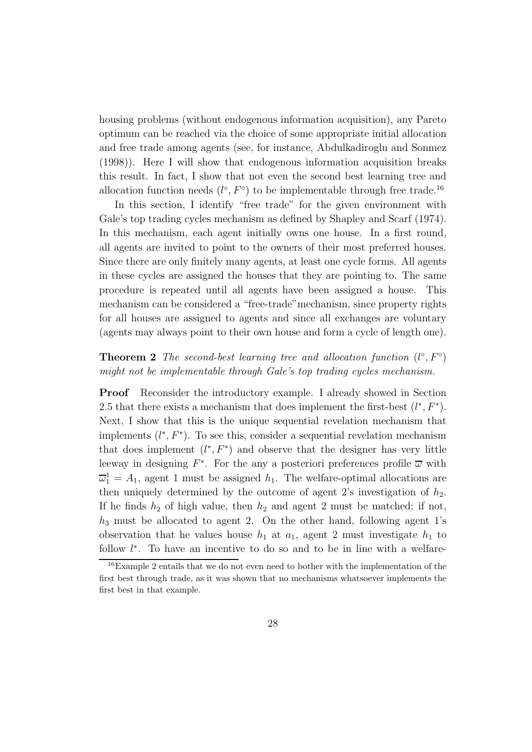housing problems (without endogenous information acquisition), any Pareto optimum can be reached via the choice of some appropriate initial allocation and free trade among agents (see, for instance, Abdulkadiroglu and Sonmez (1998)). Here I will show that endogenous information acquisition breaks this result. In fact, I show that not even the second best learning tree and allocation function needs  $(l^{\circ}, F^{\circ})$  to be implementable through free trade.<sup>16</sup>

In this section, I identify "free trade" for the given environment with Gale's top trading cycles mechanism as defined by Shapley and Scarf (1974). In this mechanism, each agent initially owns one house. In a first round, all agents are invited to point to the owners of their most preferred houses. Since there are only finitely many agents, at least one cycle forms. All agents in these cycles are assigned the houses that they are pointing to. The same procedure is repeated until all agents have been assigned a house. This mechanism can be considered a "free-trade"mechanism, since property rights for all houses are assigned to agents and since all exchanges are voluntary (agents may always point to their own house and form a cycle of length one).

### **Theorem 2** *The second-best learning tree and allocation function*  $(l^{\circ}, F^{\circ})$ *might not be implementable through Gale's top trading cycles mechanism.*

Proof Reconsider the introductory example. I already showed in Section 2.5 that there exists a mechanism that does implement the first-best  $(l^*, F^*)$ . Next, I show that this is the unique sequential revelation mechanism that implements  $(l^*, F^*)$ . To see this, consider a sequential revelation mechanism that does implement  $(l^*, F^*)$  and observe that the designer has very little leeway in designing  $F^*$ . For the any a posteriori preferences profile  $\overline{\omega}$  with  $\overline{\omega}_1^1 = A_1$ , agent 1 must be assigned  $h_1$ . The welfare-optimal allocations are then uniquely determined by the outcome of agent 2's investigation of  $h_2$ . If he finds  $h_2$  of high value, then  $h_2$  and agent 2 must be matched; if not,  $h_3$  must be allocated to agent 2. On the other hand, following agent 1's observation that he values house  $h_1$  at  $a_1$ , agent 2 must investigate  $h_1$  to follow  $l^*$ . To have an incentive to do so and to be in line with a welfare-

<sup>&</sup>lt;sup>16</sup>Example 2 entails that we do not even need to bother with the implementation of the first best through trade, as it was shown that no mechanisms whatsoever implements the first best in that example.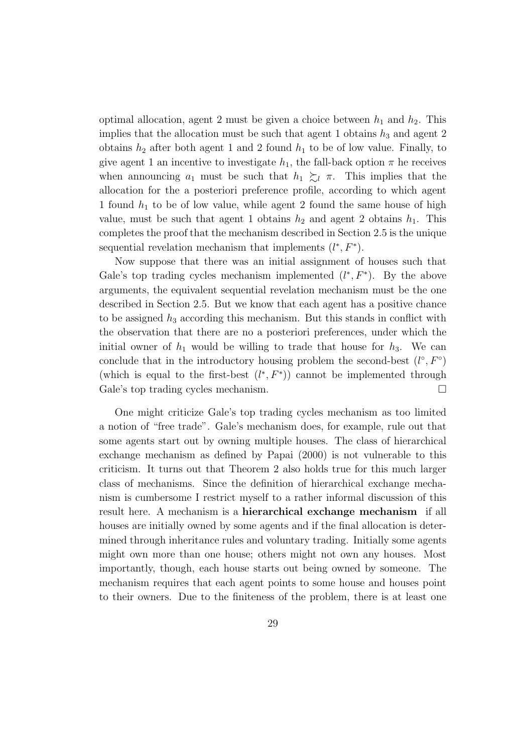optimal allocation, agent 2 must be given a choice between  $h_1$  and  $h_2$ . This implies that the allocation must be such that agent 1 obtains  $h_3$  and agent 2 obtains  $h_2$  after both agent 1 and 2 found  $h_1$  to be of low value. Finally, to give agent 1 an incentive to investigate  $h_1$ , the fall-back option  $\pi$  he receives when announcing  $a_1$  must be such that  $h_1 \succeq_l \pi$ . This implies that the allocation for the a posteriori preference profile, according to which agent 1 found  $h_1$  to be of low value, while agent 2 found the same house of high value, must be such that agent 1 obtains  $h_2$  and agent 2 obtains  $h_1$ . This completes the proof that the mechanism described in Section 2.5 is the unique sequential revelation mechanism that implements  $(l^*, F^*)$ .

Now suppose that there was an initial assignment of houses such that Gale's top trading cycles mechanism implemented  $(l^*, F^*)$ . By the above arguments, the equivalent sequential revelation mechanism must be the one described in Section 2.5. But we know that each agent has a positive chance to be assigned  $h_3$  according this mechanism. But this stands in conflict with the observation that there are no a posteriori preferences, under which the initial owner of  $h_1$  would be willing to trade that house for  $h_3$ . We can conclude that in the introductory housing problem the second-best  $(l^{\circ}, F^{\circ})$ (which is equal to the first-best  $(l^*, F^*)$ ) cannot be implemented through Gale's top trading cycles mechanism.

One might criticize Gale's top trading cycles mechanism as too limited a notion of "free trade". Gale's mechanism does, for example, rule out that some agents start out by owning multiple houses. The class of hierarchical exchange mechanism as defined by Papai (2000) is not vulnerable to this criticism. It turns out that Theorem 2 also holds true for this much larger class of mechanisms. Since the definition of hierarchical exchange mechanism is cumbersome I restrict myself to a rather informal discussion of this result here. A mechanism is a hierarchical exchange mechanism if all houses are initially owned by some agents and if the final allocation is determined through inheritance rules and voluntary trading. Initially some agents might own more than one house; others might not own any houses. Most importantly, though, each house starts out being owned by someone. The mechanism requires that each agent points to some house and houses point to their owners. Due to the finiteness of the problem, there is at least one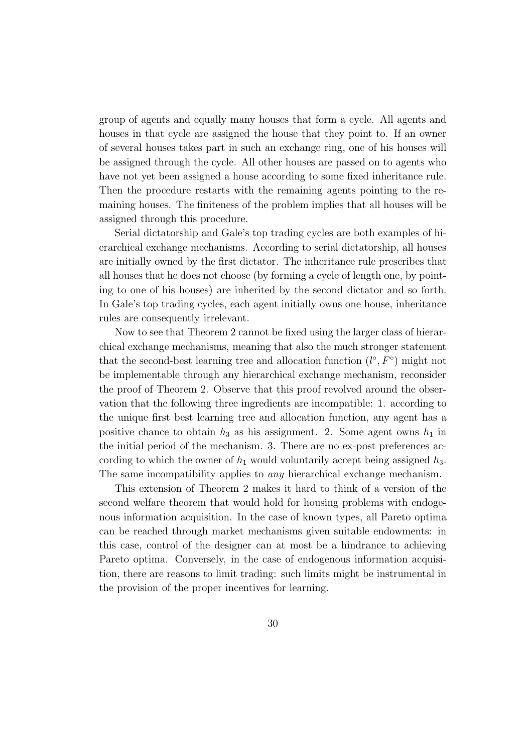group of agents and equally many houses that form a cycle. All agents and houses in that cycle are assigned the house that they point to. If an owner of several houses takes part in such an exchange ring, one of his houses will be assigned through the cycle. All other houses are passed on to agents who have not yet been assigned a house according to some fixed inheritance rule. Then the procedure restarts with the remaining agents pointing to the remaining houses. The finiteness of the problem implies that all houses will be assigned through this procedure.

Serial dictatorship and Gale's top trading cycles are both examples of hierarchical exchange mechanisms. According to serial dictatorship, all houses are initially owned by the first dictator. The inheritance rule prescribes that all houses that he does not choose (by forming a cycle of length one, by pointing to one of his houses) are inherited by the second dictator and so forth. In Gale's top trading cycles, each agent initially owns one house, inheritance rules are consequently irrelevant.

Now to see that Theorem 2 cannot be fixed using the larger class of hierarchical exchange mechanisms, meaning that also the much stronger statement that the second-best learning tree and allocation function  $(l^{\circ}, F^{\circ})$  might not be implementable through any hierarchical exchange mechanism, reconsider the proof of Theorem 2. Observe that this proof revolved around the observation that the following three ingredients are incompatible: 1. according to the unique first best learning tree and allocation function, any agent has a positive chance to obtain  $h_3$  as his assignment. 2. Some agent owns  $h_1$  in the initial period of the mechanism. 3. There are no ex-post preferences according to which the owner of  $h_1$  would voluntarily accept being assigned  $h_3$ . The same incompatibility applies to *any* hierarchical exchange mechanism.

This extension of Theorem 2 makes it hard to think of a version of the second welfare theorem that would hold for housing problems with endogenous information acquisition. In the case of known types, all Pareto optima can be reached through market mechanisms given suitable endowments: in this case, control of the designer can at most be a hindrance to achieving Pareto optima. Conversely, in the case of endogenous information acquisition, there are reasons to limit trading: such limits might be instrumental in the provision of the proper incentives for learning.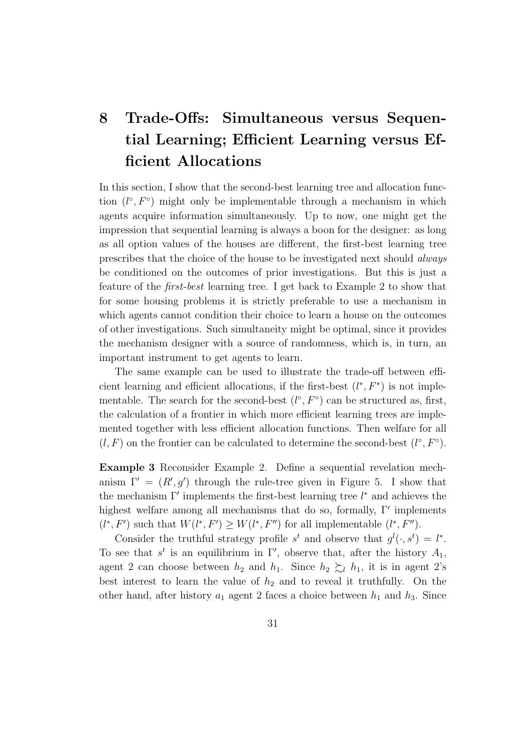## 8 Trade-Offs: Simultaneous versus Sequential Learning; Efficient Learning versus Efficient Allocations

In this section, I show that the second-best learning tree and allocation function  $(l^{\circ}, F^{\circ})$  might only be implementable through a mechanism in which agents acquire information simultaneously. Up to now, one might get the impression that sequential learning is always a boon for the designer: as long as all option values of the houses are different, the first-best learning tree prescribes that the choice of the house to be investigated next should *always* be conditioned on the outcomes of prior investigations. But this is just a feature of the *first-best* learning tree. I get back to Example 2 to show that for some housing problems it is strictly preferable to use a mechanism in which agents cannot condition their choice to learn a house on the outcomes of other investigations. Such simultaneity might be optimal, since it provides the mechanism designer with a source of randomness, which is, in turn, an important instrument to get agents to learn.

The same example can be used to illustrate the trade-off between efficient learning and efficient allocations, if the first-best  $(l^*, F^*)$  is not implementable. The search for the second-best  $(l^{\circ}, F^{\circ})$  can be structured as, first, the calculation of a frontier in which more efficient learning trees are implemented together with less efficient allocation functions. Then welfare for all  $(l, F)$  on the frontier can be calculated to determine the second-best  $(l^{\circ}, F^{\circ})$ .

Example 3 Reconsider Example 2. Define a sequential revelation mechanism  $\Gamma' = (R', g')$  through the rule-tree given in Figure 5. I show that the mechanism  $\Gamma'$  implements the first-best learning tree  $l^*$  and achieves the highest welfare among all mechanisms that do so, formally, Γ′ implements  $(l^*, F')$  such that  $W(l^*, F') \geq W(l^*, F'')$  for all implementable  $(l^*, F'')$ .

Consider the truthful strategy profile  $s^t$  and observe that  $g^l(\cdot, s^t) = l^*$ . To see that  $s^t$  is an equilibrium in  $\Gamma'$ , observe that, after the history  $A_1$ , agent 2 can choose between  $h_2$  and  $h_1$ . Since  $h_2 \succeq_l h_1$ , it is in agent 2's best interest to learn the value of  $h_2$  and to reveal it truthfully. On the other hand, after history  $a_1$  agent 2 faces a choice between  $h_1$  and  $h_3$ . Since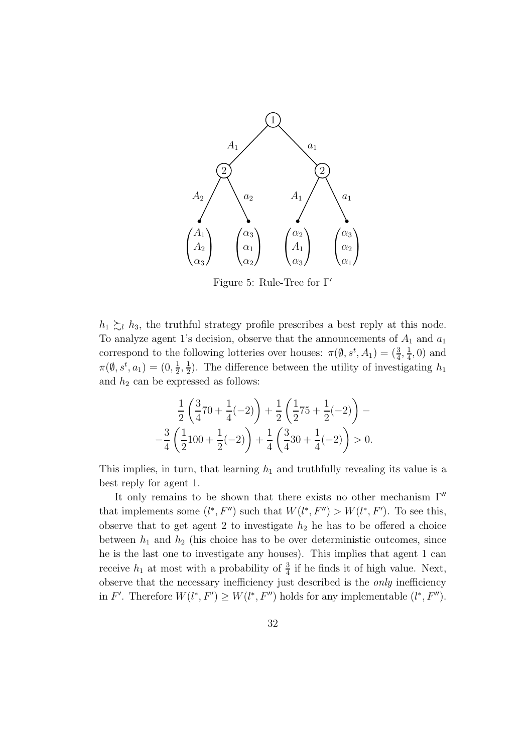

Figure 5: Rule-Tree for Γ′

 $h_1 \gtrsim_l h_3$ , the truthful strategy profile prescribes a best reply at this node. To analyze agent 1's decision, observe that the announcements of  $A_1$  and  $a_1$ correspond to the following lotteries over houses:  $\pi(\emptyset, s^t, A_1) = (\frac{3}{4}, \frac{1}{4})$  $\frac{1}{4}$ , 0) and  $\pi(\emptyset, s^t, a_1) = (0, \frac{1}{2})$  $\frac{1}{2}, \frac{1}{2}$  $\frac{1}{2}$ ). The difference between the utility of investigating  $h_1$ and  $h_2$  can be expressed as follows:

$$
\frac{1}{2}\left(\frac{3}{4}70 + \frac{1}{4}(-2)\right) + \frac{1}{2}\left(\frac{1}{2}75 + \frac{1}{2}(-2)\right) -
$$
  

$$
-\frac{3}{4}\left(\frac{1}{2}100 + \frac{1}{2}(-2)\right) + \frac{1}{4}\left(\frac{3}{4}30 + \frac{1}{4}(-2)\right) > 0.
$$

This implies, in turn, that learning  $h_1$  and truthfully revealing its value is a best reply for agent 1.

It only remains to be shown that there exists no other mechanism  $\Gamma''$ that implements some  $(l^*, F'')$  such that  $W(l^*, F'') > W(l^*, F')$ . To see this, observe that to get agent 2 to investigate  $h_2$  he has to be offered a choice between  $h_1$  and  $h_2$  (his choice has to be over deterministic outcomes, since he is the last one to investigate any houses). This implies that agent 1 can receive  $h_1$  at most with a probability of  $\frac{3}{4}$  if he finds it of high value. Next, observe that the necessary inefficiency just described is the *only* inefficiency in F'. Therefore  $W(l^*, F') \geq W(l^*, F'')$  holds for any implementable  $(l^*, F'')$ .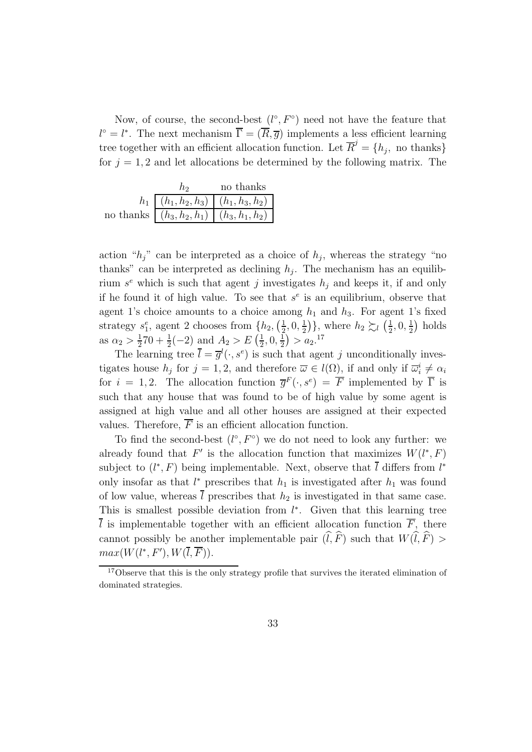Now, of course, the second-best  $(l^{\circ}, F^{\circ})$  need not have the feature that  $l^{\circ} = l^{*}$ . The next mechanism  $\overline{\Gamma} = (\overline{R}, \overline{g})$  implements a less efficient learning tree together with an efficient allocation function. Let  $\overline{R}^j = \{h_j, \text{ no thanks}\}\$ for  $j = 1, 2$  and let allocations be determined by the following matrix. The

|  | no thanks                                            |
|--|------------------------------------------------------|
|  | $h_1 \mid (h_1, h_2, h_3) \mid (h_1, h_3, h_2) \mid$ |
|  | no thanks $ (h_3, h_2, h_1)  (h_3, h_1, h_2) $       |

action " $h_j$ " can be interpreted as a choice of  $h_j$ , whereas the strategy "no thanks" can be interpreted as declining  $h_j$ . The mechanism has an equilibrium  $s^e$  which is such that agent j investigates  $h_j$  and keeps it, if and only if he found it of high value. To see that  $s^e$  is an equilibrium, observe that agent 1's choice amounts to a choice among  $h_1$  and  $h_3$ . For agent 1's fixed strategy  $s_1^e$ , agent 2 chooses from  $\{h_2, \left(\frac{1}{2}\right)$  $\frac{1}{2}, 0, \frac{1}{2}$  $\frac{1}{2}$ }, where  $h_2 \succsim_l (\frac{1}{2})$  $\frac{1}{2}, 0, \frac{1}{2}$  $(\frac{1}{2})$  holds as  $\alpha_2 > \frac{1}{2}$  $\frac{1}{2}$ 70 +  $\frac{1}{2}$ (-2) and  $A_2 > E$  ( $\frac{1}{2}$ )  $\frac{1}{2}, 0, \frac{1}{2}$  $\frac{1}{2}$ ) >  $a_2$ <sup>17</sup>

The learning tree  $\bar{l} = \bar{g}^l(\cdot, s^e)$  is such that agent j unconditionally investigates house  $h_j$  for  $j = 1, 2$ , and therefore  $\overline{\omega} \in l(\Omega)$ , if and only if  $\overline{\omega}_i^i \neq \alpha_i$ for  $i = 1, 2$ . The allocation function  $\overline{g}^F(\cdot, s^e) = \overline{F}$  implemented by  $\overline{\Gamma}$  is such that any house that was found to be of high value by some agent is assigned at high value and all other houses are assigned at their expected values. Therefore,  $\overline{F}$  is an efficient allocation function.

To find the second-best  $(l^{\circ}, F^{\circ})$  we do not need to look any further: we already found that  $F'$  is the allocation function that maximizes  $W(l^*, F)$ subject to  $(l^*, F)$  being implementable. Next, observe that  $\overline{l}$  differs from  $l^*$ only insofar as that  $l^*$  prescribes that  $h_1$  is investigated after  $h_1$  was found of low value, whereas  $\bar{l}$  prescribes that  $h_2$  is investigated in that same case. This is smallest possible deviation from  $l^*$ . Given that this learning tree  $\overline{l}$  is implementable together with an efficient allocation function  $\overline{F}$ , there cannot possibly be another implementable pair  $(\widehat{l}, \widehat{F})$  such that  $W(\widehat{l}, \widehat{F})$  >  $max(W(l^*, F'), W(\overline{l}, \overline{F})).$ 

<sup>&</sup>lt;sup>17</sup>Observe that this is the only strategy profile that survives the iterated elimination of dominated strategies.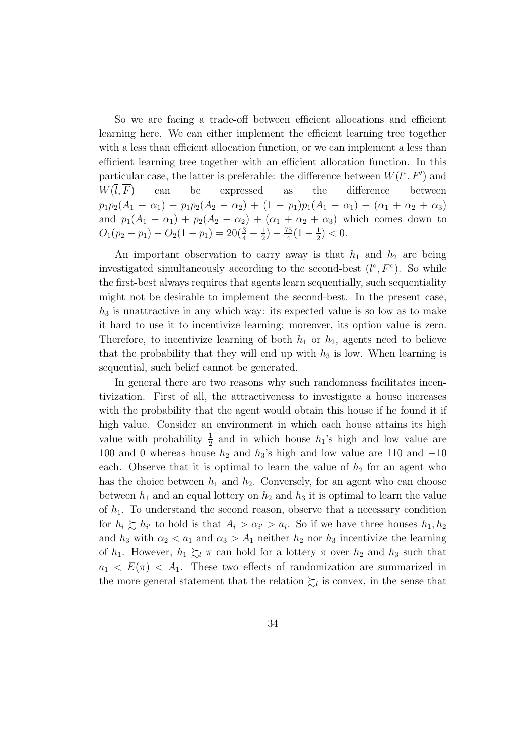So we are facing a trade-off between efficient allocations and efficient learning here. We can either implement the efficient learning tree together with a less than efficient allocation function, or we can implement a less than efficient learning tree together with an efficient allocation function. In this particular case, the latter is preferable: the difference between  $W(l^*, F')$  and  $W(\overline{l}, \overline{F})$  can be expressed as the difference between  $p_1p_2(A_1 - \alpha_1) + p_1p_2(A_2 - \alpha_2) + (1 - p_1)p_1(A_1 - \alpha_1) + (\alpha_1 + \alpha_2 + \alpha_3)$ and  $p_1(A_1 - \alpha_1) + p_2(A_2 - \alpha_2) + (\alpha_1 + \alpha_2 + \alpha_3)$  which comes down to  $O_1(p_2 - p_1) - O_2(1 - p_1) = 20(\frac{3}{4} - \frac{1}{2})$  $\frac{1}{2})-\frac{75}{4}$  $\frac{75}{4}(1-\frac{1}{2})$  $(\frac{1}{2}) < 0.$ 

An important observation to carry away is that  $h_1$  and  $h_2$  are being investigated simultaneously according to the second-best  $(l^{\circ}, F^{\circ})$ . So while the first-best always requires that agents learn sequentially, such sequentiality might not be desirable to implement the second-best. In the present case,  $h_3$  is unattractive in any which way: its expected value is so low as to make it hard to use it to incentivize learning; moreover, its option value is zero. Therefore, to incentivize learning of both  $h_1$  or  $h_2$ , agents need to believe that the probability that they will end up with  $h_3$  is low. When learning is sequential, such belief cannot be generated.

In general there are two reasons why such randomness facilitates incentivization. First of all, the attractiveness to investigate a house increases with the probability that the agent would obtain this house if he found it if high value. Consider an environment in which each house attains its high value with probability  $\frac{1}{2}$  and in which house  $h_1$ 's high and low value are 100 and 0 whereas house  $h_2$  and  $h_3$ 's high and low value are 110 and −10 each. Observe that it is optimal to learn the value of  $h_2$  for an agent who has the choice between  $h_1$  and  $h_2$ . Conversely, for an agent who can choose between  $h_1$  and an equal lottery on  $h_2$  and  $h_3$  it is optimal to learn the value of  $h_1$ . To understand the second reason, observe that a necessary condition for  $h_i \succsim h_{i'}$  to hold is that  $A_i > \alpha_{i'} > a_i$ . So if we have three houses  $h_1, h_2$ and  $h_3$  with  $\alpha_2 < a_1$  and  $\alpha_3 > A_1$  neither  $h_2$  nor  $h_3$  incentivize the learning of  $h_1$ . However,  $h_1 \succsim_l \pi$  can hold for a lottery  $\pi$  over  $h_2$  and  $h_3$  such that  $a_1 < E(\pi) < A_1$ . These two effects of randomization are summarized in the more general statement that the relation  $\succsim_l$  is convex, in the sense that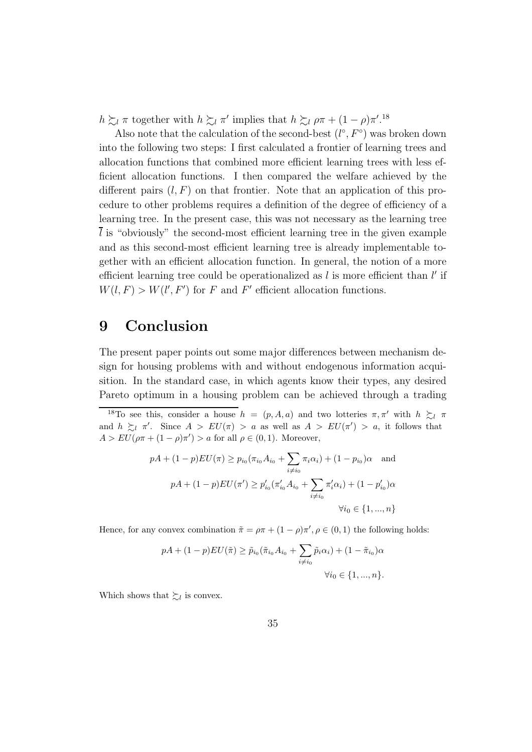$h \succsim_l \pi$  together with  $h \succsim_l \pi'$  implies that  $h \succsim_l \rho \pi + (1 - \rho) \pi'$ .<sup>18</sup>

Also note that the calculation of the second-best  $(l^{\circ}, F^{\circ})$  was broken down into the following two steps: I first calculated a frontier of learning trees and allocation functions that combined more efficient learning trees with less efficient allocation functions. I then compared the welfare achieved by the different pairs  $(l, F)$  on that frontier. Note that an application of this procedure to other problems requires a definition of the degree of efficiency of a learning tree. In the present case, this was not necessary as the learning tree  $\overline{l}$  is "obviously" the second-most efficient learning tree in the given example and as this second-most efficient learning tree is already implementable together with an efficient allocation function. In general, the notion of a more efficient learning tree could be operationalized as  $l$  is more efficient than  $l'$  if  $W(l, F) > W(l', F')$  for F and F' efficient allocation functions.

### 9 Conclusion

The present paper points out some major differences between mechanism design for housing problems with and without endogenous information acquisition. In the standard case, in which agents know their types, any desired Pareto optimum in a housing problem can be achieved through a trading

<sup>18</sup>To see this, consider a house  $h = (p, A, a)$  and two lotteries  $\pi, \pi'$  with  $h \gtrsim_l \pi$ and  $h \gtrsim_l \pi'$ . Since  $A > EU(\pi) > a$  as well as  $A > EU(\pi') > a$ , it follows that  $A > EU(\rho \pi + (1 - \rho)\pi') > a$  for all  $\rho \in (0, 1)$ . Moreover,

$$
pA + (1 - p)EU(\pi) \ge p_{i_0}(\pi_{i_0} A_{i_0} + \sum_{i \neq i_0} \pi_i \alpha_i) + (1 - p_{i_0})\alpha \text{ and}
$$
  

$$
pA + (1 - p)EU(\pi') \ge p'_{i_0}(\pi'_{i_0} A_{i_0} + \sum_{i \neq i_0} \pi'_i \alpha_i) + (1 - p'_{i_0})\alpha
$$
  

$$
\forall i_0 \in \{1, ..., n\}
$$

Hence, for any convex combination  $\tilde{\pi} = \rho \pi + (1 - \rho) \pi', \rho \in (0, 1)$  the following holds:

$$
pA + (1 - p)EU(\tilde{\pi}) \ge \tilde{p}_{i_0}(\tilde{\pi}_{i_0} A_{i_0} + \sum_{i \ne i_0} \tilde{p}_i \alpha_i) + (1 - \tilde{\pi}_{i_0}) \alpha
$$
  

$$
\forall i_0 \in \{1, ..., n\}.
$$

Which shows that  $\sum_l$  is convex.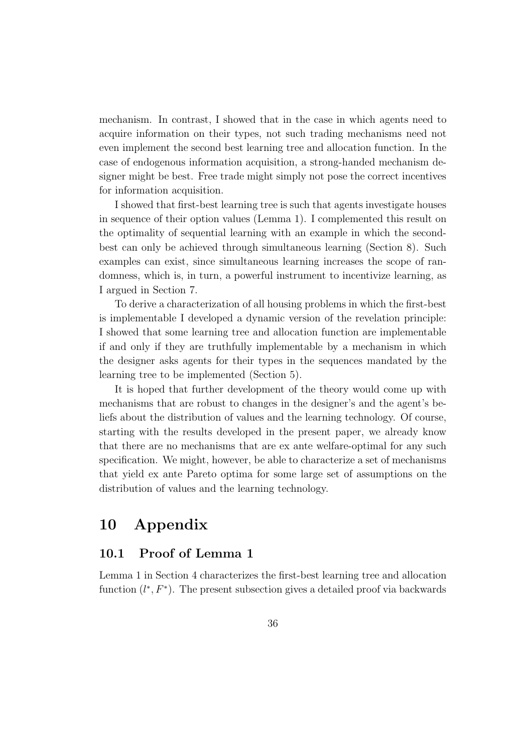mechanism. In contrast, I showed that in the case in which agents need to acquire information on their types, not such trading mechanisms need not even implement the second best learning tree and allocation function. In the case of endogenous information acquisition, a strong-handed mechanism designer might be best. Free trade might simply not pose the correct incentives for information acquisition.

I showed that first-best learning tree is such that agents investigate houses in sequence of their option values (Lemma 1). I complemented this result on the optimality of sequential learning with an example in which the secondbest can only be achieved through simultaneous learning (Section 8). Such examples can exist, since simultaneous learning increases the scope of randomness, which is, in turn, a powerful instrument to incentivize learning, as I argued in Section 7.

To derive a characterization of all housing problems in which the first-best is implementable I developed a dynamic version of the revelation principle: I showed that some learning tree and allocation function are implementable if and only if they are truthfully implementable by a mechanism in which the designer asks agents for their types in the sequences mandated by the learning tree to be implemented (Section 5).

It is hoped that further development of the theory would come up with mechanisms that are robust to changes in the designer's and the agent's beliefs about the distribution of values and the learning technology. Of course, starting with the results developed in the present paper, we already know that there are no mechanisms that are ex ante welfare-optimal for any such specification. We might, however, be able to characterize a set of mechanisms that yield ex ante Pareto optima for some large set of assumptions on the distribution of values and the learning technology.

### 10 Appendix

### 10.1 Proof of Lemma 1

Lemma 1 in Section 4 characterizes the first-best learning tree and allocation function  $(l^*, F^*)$ . The present subsection gives a detailed proof via backwards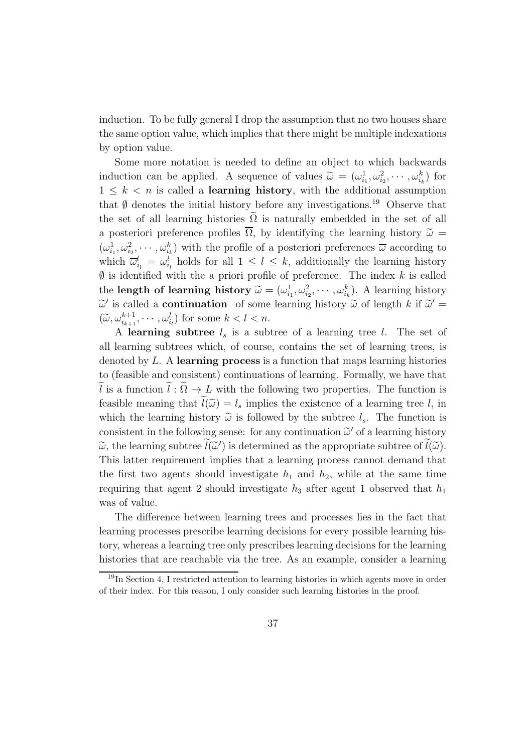induction. To be fully general I drop the assumption that no two houses share the same option value, which implies that there might be multiple indexations by option value.

Some more notation is needed to define an object to which backwards induction can be applied. A sequence of values  $\widetilde{\omega} = (\omega_{i_1}^1, \omega_{i_2}^2, \cdots, \omega_{i_k}^k)$  for  $1 \leq k \leq n$  is called a **learning history**, with the additional assumption that  $\emptyset$  denotes the initial history before any investigations.<sup>19</sup> Observe that the set of all learning histories  $\Omega$  is naturally embedded in the set of all a posteriori preference profiles  $\overline{\Omega}$ , by identifying the learning history  $\tilde{\omega} =$  $(\omega_{i_1}^1, \omega_{i_2}^2, \cdots, \omega_{i_k}^k)$  with the profile of a posteriori preferences  $\overline{\omega}$  according to which  $\overline{\omega}_{i_l}^l = \omega_{i_l}^l$  holds for all  $1 \leq l \leq k$ , additionally the learning history  $\emptyset$  is identified with the a priori profile of preference. The index k is called the **length of learning history**  $\widetilde{\omega} = (\omega_{i_1}^1, \omega_{i_2}^2, \cdots, \omega_{i_k}^k)$ . A learning history  $\widetilde{\omega}'$  is called a **continuation** of some learning history  $\widetilde{\omega}$  of length k if  $\widetilde{\omega}' =$  $(\widetilde{\omega}, \omega_{i_{k+1}}^{k+1}, \cdots, \omega_{i_l}^l)$  for some  $k < l < n$ .

A learning subtree  $l_s$  is a subtree of a learning tree l. The set of all learning subtrees which, of course, contains the set of learning trees, is denoted by  $L$ . A learning process is a function that maps learning histories to (feasible and consistent) continuations of learning. Formally, we have that  $\tilde{l}$  is a function  $\tilde{l}$  :  $\tilde{\Omega} \to L$  with the following two properties. The function is feasible meaning that  $\tilde{l}(\tilde{\omega}) = l_s$  implies the existence of a learning tree l, in which the learning history  $\tilde{\omega}$  is followed by the subtree  $l_s$ . The function is consistent in the following sense: for any continuation  $\tilde{\omega}'$  of a learning history  $\widetilde{\omega}$ , the learning subtree  $\widetilde{l}(\widetilde{\omega}')$  is determined as the appropriate subtree of  $\widetilde{l}(\widetilde{\omega})$ . This latter requirement implies that a learning process cannot demand that the first two agents should investigate  $h_1$  and  $h_2$ , while at the same time requiring that agent 2 should investigate  $h_3$  after agent 1 observed that  $h_1$ was of value.

The difference between learning trees and processes lies in the fact that learning processes prescribe learning decisions for every possible learning history, whereas a learning tree only prescribes learning decisions for the learning histories that are reachable via the tree. As an example, consider a learning

<sup>19</sup>In Section 4, I restricted attention to learning histories in which agents move in order of their index. For this reason, I only consider such learning histories in the proof.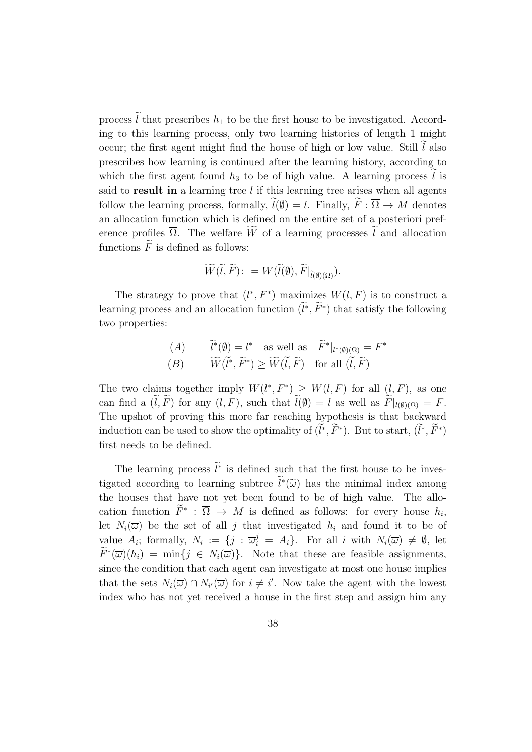process  $\tilde{l}$  that prescribes  $h_1$  to be the first house to be investigated. According to this learning process, only two learning histories of length 1 might occur; the first agent might find the house of high or low value. Still  $l$  also prescribes how learning is continued after the learning history, according to which the first agent found  $h_3$  to be of high value. A learning process l is said to result in a learning tree  $l$  if this learning tree arises when all agents follow the learning process, formally,  $\widetilde{l}(\emptyset) = l$ . Finally,  $\widetilde{F}: \overline{\Omega} \to M$  denotes an allocation function which is defined on the entire set of a posteriori preference profiles  $\overline{\Omega}$ . The welfare  $\widetilde{W}$  of a learning processes  $\widetilde{l}$  and allocation functions  $\widetilde{F}$  is defined as follows:

$$
\widetilde{W}(\widetilde{l},\widetilde{F})\colon=W(\widetilde{l}(\emptyset),\widetilde{F}|_{\widetilde{l}(\emptyset)(\Omega)}).
$$

The strategy to prove that  $(l^*, F^*)$  maximizes  $W(l, F)$  is to construct a learning process and an allocation function  $(\tilde{l}^*, \tilde{F}^*)$  that satisfy the following two properties:

(A) 
$$
\widetilde{l}^*(\emptyset) = l^*
$$
 as well as  $\widetilde{F}^*|_{l^*(\emptyset)(\Omega)} = F^*$   
\n(B)  $\widetilde{W}(\widetilde{l}^*, \widetilde{F}^*) \ge \widetilde{W}(\widetilde{l}, \widetilde{F})$  for all  $(\widetilde{l}, \widetilde{F})$ 

The two claims together imply  $W(l^*, F^*) \geq W(l, F)$  for all  $(l, F)$ , as one can find a  $(\tilde{l}, \tilde{F})$  for any  $(l, F)$ , such that  $\tilde{l}(\emptyset) = l$  as well as  $\tilde{F}|_{l(\emptyset)(\Omega)} = F$ . The upshot of proving this more far reaching hypothesis is that backward induction can be used to show the optimality of  $(l^*, \tilde{F}^*)$ . But to start,  $(l^*, \tilde{F}^*)$ first needs to be defined.

The learning process  $\ell^*$  is defined such that the first house to be investigated according to learning subtree  $\ell^*(\tilde{\omega})$  has the minimal index among the houses that have not yet been found to be of high value. The allocation function  $\overline{F}^*$ :  $\overline{\Omega} \to M$  is defined as follows: for every house  $h_i$ , let  $N_i(\overline{\omega})$  be the set of all j that investigated  $h_i$  and found it to be of value  $A_i$ ; formally,  $N_i := \{j : \overline{\omega}_i^j = A_i\}$ . For all i with  $N_i(\overline{\omega}) \neq \emptyset$ , let  $\widetilde{F}^*(\overline{\omega})(h_i) = \min\{j \in N_i(\overline{\omega})\}.$  Note that these are feasible assignments, since the condition that each agent can investigate at most one house implies that the sets  $N_i(\overline{\omega}) \cap N_{i'}(\overline{\omega})$  for  $i \neq i'$ . Now take the agent with the lowest index who has not yet received a house in the first step and assign him any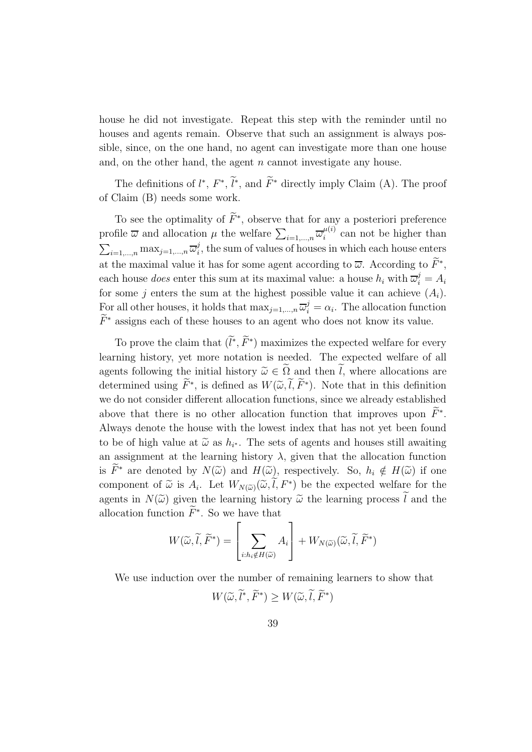house he did not investigate. Repeat this step with the reminder until no houses and agents remain. Observe that such an assignment is always possible, since, on the one hand, no agent can investigate more than one house and, on the other hand, the agent  $n$  cannot investigate any house.

The definitions of  $l^*, F^*, l^*,$  and  $\tilde{F}^*$  directly imply Claim (A). The proof of Claim (B) needs some work.

To see the optimality of  $\overline{F}^*$ , observe that for any a posteriori preference profile  $\overline{\omega}$  and allocation  $\mu$  the welfare  $\sum_{i=1,\dots,n} \overline{\omega}_i^{\mu(i)}$  $\mu^{(i)}$  can not be higher than  $\sum_{i=1,\dots,n} \max_{j=1,\dots,n} \overline{\omega}_i^j$  $i<sub>i</sub>$ , the sum of values of houses in which each house enters at the maximal value it has for some agent according to  $\overline{\omega}$ . According to  $\overline{F}^*$ , each house *does* enter this sum at its maximal value: a house  $h_i$  with  $\overline{\omega}_i^j = A_i$ for some j enters the sum at the highest possible value it can achieve  $(A_i)$ . For all other houses, it holds that  $\max_{j=1,\dots,n} \overline{\omega}_i^j = \alpha_i$ . The allocation function  $\widetilde{F}^*$  assigns each of these houses to an agent who does not know its value.

To prove the claim that  $(\tilde{l}^*, \tilde{F}^*)$  maximizes the expected welfare for every learning history, yet more notation is needed. The expected welfare of all agents following the initial history  $\widetilde{\omega} \in \widetilde{\Omega}$  and then  $\widetilde{l}$ , where allocations are determined using  $\tilde{F}^*$ , is defined as  $W(\tilde{\omega}, l, \tilde{F}^*)$ . Note that in this definition we do not consider different allocation functions, since we already established above that there is no other allocation function that improves upon  $\tilde{F}^*$ . Always denote the house with the lowest index that has not yet been found to be of high value at  $\tilde{\omega}$  as  $h_{i^*}$ . The sets of agents and houses still awaiting an assignment at the learning history  $\lambda$ , given that the allocation function is  $\widetilde{F}^*$  are denoted by  $N(\widetilde{\omega})$  and  $H(\widetilde{\omega})$ , respectively. So,  $h_i \notin H(\widetilde{\omega})$  if one component of  $\widetilde{\omega}$  is  $A_i$ . Let  $W_{N(\widetilde{\omega})}(\widetilde{\omega}, l, F^*)$  be the expected welfare for the agents in  $N(\tilde{\omega})$  given the learning history  $\tilde{\omega}$  the learning process  $\tilde{l}$  and the allocation function  $\tilde{F}^*$ . So we have that

$$
W(\widetilde{\omega}, \widetilde{l}, \widetilde{F}^*) = \left[\sum_{i:h_i \notin H(\widetilde{\omega})} A_i\right] + W_{N(\widetilde{\omega})}(\widetilde{\omega}, \widetilde{l}, \widetilde{F}^*)
$$

We use induction over the number of remaining learners to show that

$$
W(\widetilde{\omega}, \widetilde{l}^*, \widetilde{F}^*) \ge W(\widetilde{\omega}, \widetilde{l}, \widetilde{F}^*)
$$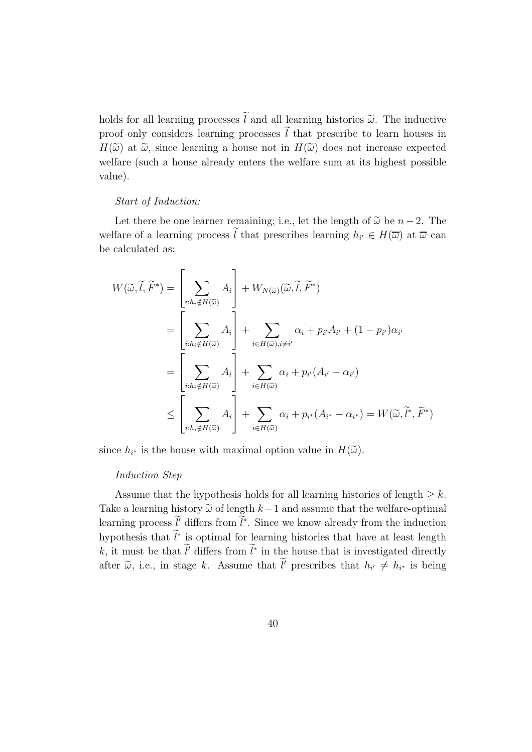holds for all learning processes  $\tilde{l}$  and all learning histories  $\tilde{\omega}$ . The inductive proof only considers learning processes  $\tilde{l}$  that prescribe to learn houses in  $H(\tilde{\omega})$  at  $\tilde{\omega}$ , since learning a house not in  $H(\tilde{\omega})$  does not increase expected welfare (such a house already enters the welfare sum at its highest possible value).

#### *Start of Induction:*

Let there be one learner remaining; i.e., let the length of  $\tilde{\omega}$  be  $n-2$ . The welfare of a learning process l that prescribes learning  $h_{i'} \in H(\overline{\omega})$  at  $\overline{\omega}$  can be calculated as:

$$
W(\widetilde{\omega}, \widetilde{l}, \widetilde{F}^*) = \left[\sum_{i:h_i \notin H(\widetilde{\omega})} A_i\right] + W_{N(\widetilde{\omega})}(\widetilde{\omega}, \widetilde{l}, \widetilde{F}^*)
$$
  
\n
$$
= \left[\sum_{i:h_i \notin H(\widetilde{\omega})} A_i\right] + \sum_{i \in H(\widetilde{\omega}), i \neq i'} \alpha_i + p_{i'} A_{i'} + (1 - p_{i'}) \alpha_{i'}
$$
  
\n
$$
= \left[\sum_{i:h_i \notin H(\widetilde{\omega})} A_i\right] + \sum_{i \in H(\widetilde{\omega})} \alpha_i + p_{i'} (A_{i'} - \alpha_{i'})
$$
  
\n
$$
\leq \left[\sum_{i:h_i \notin H(\widetilde{\omega})} A_i\right] + \sum_{i \in H(\widetilde{\omega})} \alpha_i + p_{i^*} (A_{i^*} - \alpha_{i^*}) = W(\widetilde{\omega}, \widetilde{l}^*, \widetilde{F}^*)
$$

since  $h_{i^*}$  is the house with maximal option value in  $H(\widetilde{\omega})$ .

#### *Induction Step*

Assume that the hypothesis holds for all learning histories of length  $\geq k$ . Take a learning history  $\tilde{\omega}$  of length  $k-1$  and assume that the welfare-optimal learning process  $\ell'$  differs from  $\ell^*$ . Since we know already from the induction hypothesis that  $\tilde{l}^*$  is optimal for learning histories that have at least length k, it must be that  $l'$  differs from  $l^*$  in the house that is investigated directly after  $\tilde{\omega}$ , i.e., in stage k. Assume that  $l'$  prescribes that  $h_{i'} \neq h_{i^*}$  is being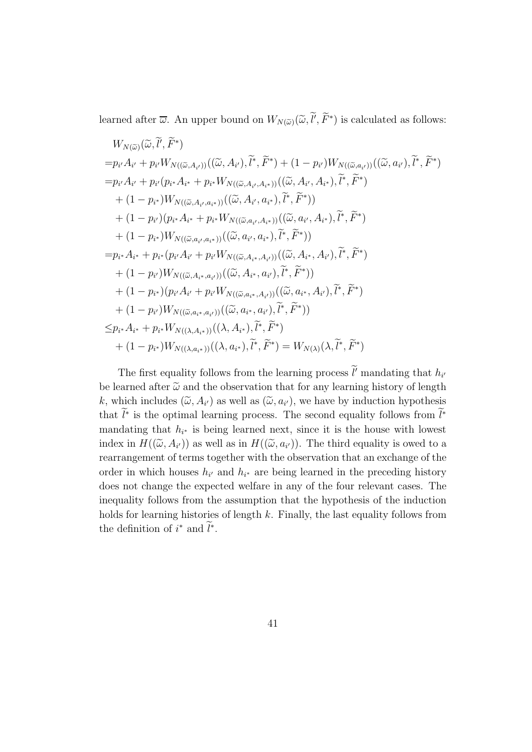learned after  $\overline{\omega}$ . An upper bound on  $W_{N(\widetilde{\omega})}(\widetilde{\omega}, \widetilde{l'}, \widetilde{F}^*)$  is calculated as follows:

$$
W_{N(\widetilde{\omega})}(\widetilde{\omega}, \widetilde{l}', \widetilde{F}^{*})
$$
\n
$$
= p_{i'} A_{i'} + p_{i'} W_{N((\widetilde{\omega}, A_{i'}))}((\widetilde{\omega}, A_{i'}), \widetilde{l}^{*}, \widetilde{F}^{*}) + (1 - p_{i'}) W_{N((\widetilde{\omega}, a_{i'}))}((\widetilde{\omega}, a_{i'}), \widetilde{l}^{*}, \widetilde{F}^{*})
$$
\n
$$
= p_{i'} A_{i'} + p_{i'} (p_{i*} A_{i*} + p_{i*} W_{N((\widetilde{\omega}, A_{i'}, A_{i*}))}((\widetilde{\omega}, A_{i'}, A_{i*}), \widetilde{l}^{*}, \widetilde{F}^{*})
$$
\n
$$
+ (1 - p_{i*}) W_{N((\widetilde{\omega}, A_{i'}, a_{i*}))}((\widetilde{\omega}, A_{i'}, a_{i*}), \widetilde{l}^{*}, \widetilde{F}^{*})
$$
\n
$$
+ (1 - p_{i'}) (p_{i*} A_{i*} + p_{i*} W_{N((\widetilde{\omega}, a_{i'}, A_{i*}))}((\widetilde{\omega}, a_{i'}, A_{i*}), \widetilde{l}^{*}, \widetilde{F}^{*})
$$
\n
$$
+ (1 - p_{i*}) W_{N((\widetilde{\omega}, a_{i'}, a_{i*}))}((\widetilde{\omega}, a_{i'}, a_{i*}), \widetilde{l}^{*}, \widetilde{F}^{*})
$$
\n
$$
= p_{i*} A_{i*} + p_{i*} (p_{i'} A_{i'} + p_{i'} W_{N((\widetilde{\omega}, A_{i*}, A_{i'}))}((\widetilde{\omega}, A_{i*}, A_{i'}), \widetilde{l}^{*}, \widetilde{F}^{*})
$$
\n
$$
+ (1 - p_{i'}) W_{N((\widetilde{\omega}, A_{i*}, a_{i'}))}((\widetilde{\omega}, A_{i*}, a_{i'}), \widetilde{l}^{*}, \widetilde{F}^{*})
$$
\n
$$
+ (1 - p_{i'}) W_{N((\widetilde{\omega}, a_{i*}, a_{i'}))}((\widetilde{\omega}, a_{i*}, A_{i'}), \widetilde{l}^{*}, \widetilde{F}^{*
$$

The first equality follows from the learning process  $\tilde{l}'$  mandating that  $h_{i'}$ be learned after  $\tilde{\omega}$  and the observation that for any learning history of length k, which includes  $(\tilde{\omega}, A_{i'})$  as well as  $(\tilde{\omega}, a_{i'})$ , we have by induction hypothesis that  $l^*$  is the optimal learning process. The second equality follows from  $l^*$ mandating that  $h_{i^*}$  is being learned next, since it is the house with lowest index in  $H((\tilde{\omega}, A_{i'}))$  as well as in  $H((\tilde{\omega}, a_{i'}))$ . The third equality is owed to a rearrangement of terms together with the observation that an exchange of the order in which houses  $h_{i'}$  and  $h_{i'}$  are being learned in the preceding history does not change the expected welfare in any of the four relevant cases. The inequality follows from the assumption that the hypothesis of the induction holds for learning histories of length  $k$ . Finally, the last equality follows from the definition of  $i^*$  and  $\tilde{l}^*$ .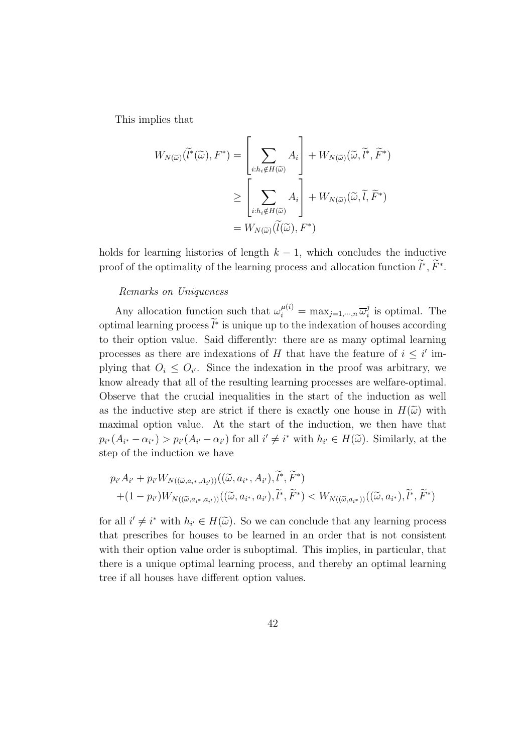This implies that

$$
W_{N(\widetilde{\omega})}(\widetilde{l}^*(\widetilde{\omega}), F^*) = \left[\sum_{i:h_i \notin H(\widetilde{\omega})} A_i\right] + W_{N(\widetilde{\omega})}(\widetilde{\omega}, \widetilde{l}^*, \widetilde{F}^*)
$$
  
\n
$$
\geq \left[\sum_{i:h_i \notin H(\widetilde{\omega})} A_i\right] + W_{N(\widetilde{\omega})}(\widetilde{\omega}, \widetilde{l}, \widetilde{F}^*)
$$
  
\n
$$
= W_{N(\widetilde{\omega})}(\widetilde{l}(\widetilde{\omega}), F^*)
$$

holds for learning histories of length  $k - 1$ , which concludes the inductive proof of the optimality of the learning process and allocation function  $\tilde{l}^*, \tilde{F}^*$ .

#### *Remarks on Uniqueness*

Any allocation function such that  $\omega_i^{\mu(i)} = \max_{j=1,\dots,n} \overline{\omega}_i^j$  $i<sub>i</sub>$  is optimal. The optimal learning process  $\tilde{l}^*$  is unique up to the indexation of houses according to their option value. Said differently: there are as many optimal learning processes as there are indexations of H that have the feature of  $i \leq i'$  implying that  $O_i \leq O_{i'}$ . Since the indexation in the proof was arbitrary, we know already that all of the resulting learning processes are welfare-optimal. Observe that the crucial inequalities in the start of the induction as well as the inductive step are strict if there is exactly one house in  $H(\tilde{\omega})$  with maximal option value. At the start of the induction, we then have that  $p_{i^*}(A_{i^*}-\alpha_{i^*}) > p_{i'}(A_{i'}-\alpha_{i'})$  for all  $i' \neq i^*$  with  $h_{i'} \in H(\widetilde{\omega})$ . Similarly, at the step of the induction we have

$$
p_{i'}A_{i'} + p_{i'}W_{N((\tilde{\omega}, a_{i^*}, A_{i'}))}((\tilde{\omega}, a_{i^*}, A_{i'}), \tilde{l}^*, \tilde{F}^*)
$$
  
+
$$
(1 - p_{i'})W_{N((\tilde{\omega}, a_{i^*}, a_{i'}))}((\tilde{\omega}, a_{i^*}, a_{i'}), \tilde{l}^*, \tilde{F}^*) < W_{N((\tilde{\omega}, a_{i^*}))}((\tilde{\omega}, a_{i^*}), \tilde{l}^*, \tilde{F}^*)
$$

for all  $i' \neq i^*$  with  $h_{i'} \in H(\widetilde{\omega})$ . So we can conclude that any learning process that prescribes for houses to be learned in an order that is not consistent with their option value order is suboptimal. This implies, in particular, that there is a unique optimal learning process, and thereby an optimal learning tree if all houses have different option values.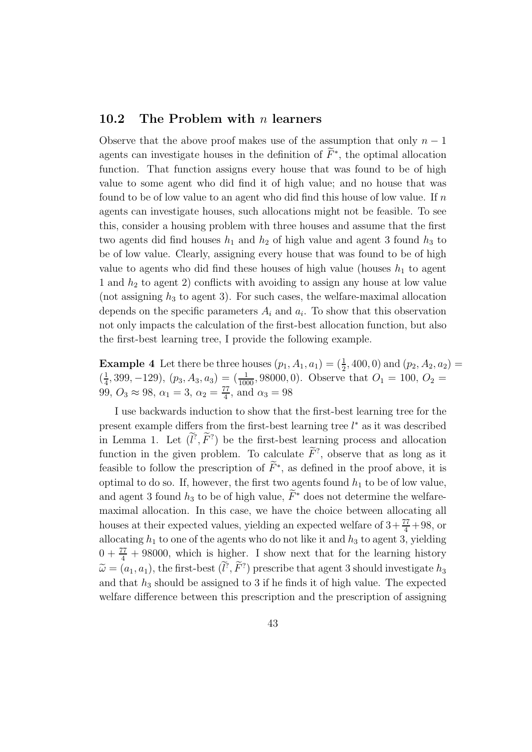### 10.2 The Problem with  $n$  learners

Observe that the above proof makes use of the assumption that only  $n-1$ agents can investigate houses in the definition of  $\tilde{F}^*$ , the optimal allocation function. That function assigns every house that was found to be of high value to some agent who did find it of high value; and no house that was found to be of low value to an agent who did find this house of low value. If  $n$ agents can investigate houses, such allocations might not be feasible. To see this, consider a housing problem with three houses and assume that the first two agents did find houses  $h_1$  and  $h_2$  of high value and agent 3 found  $h_3$  to be of low value. Clearly, assigning every house that was found to be of high value to agents who did find these houses of high value (houses  $h_1$  to agent 1 and  $h_2$  to agent 2) conflicts with avoiding to assign any house at low value (not assigning  $h_3$  to agent 3). For such cases, the welfare-maximal allocation depends on the specific parameters  $A_i$  and  $a_i$ . To show that this observation not only impacts the calculation of the first-best allocation function, but also the first-best learning tree, I provide the following example.

**Example 4** Let there be three houses  $(p_1, A_1, a_1) = (\frac{1}{2}, 400, 0)$  and  $(p_2, A_2, a_2) =$  $\left(\frac{1}{4}\right)$  $\frac{1}{4}$ , 399, -129),  $(p_3, A_3, a_3) = \left(\frac{1}{1000}, 98000, 0\right)$ . Observe that  $O_1 = 100, O_2 =$ 99,  $O_3 \approx 98$ ,  $\alpha_1 = 3$ ,  $\alpha_2 = \frac{77}{4}$  $\frac{17}{4}$ , and  $\alpha_3 = 98$ 

I use backwards induction to show that the first-best learning tree for the present example differs from the first-best learning tree  $l^*$  as it was described in Lemma 1. Let  $(l^?, F^?)$  be the first-best learning process and allocation function in the given problem. To calculate  $\tilde{F}^?$ , observe that as long as it feasible to follow the prescription of  $\tilde{F}^*$ , as defined in the proof above, it is optimal to do so. If, however, the first two agents found  $h_1$  to be of low value, and agent 3 found  $h_3$  to be of high value,  $\widetilde{F}^*$  does not determine the welfaremaximal allocation. In this case, we have the choice between allocating all houses at their expected values, yielding an expected welfare of  $3 + \frac{77}{4} + 98$ , or allocating  $h_1$  to one of the agents who do not like it and  $h_3$  to agent 3, yielding  $0 + \frac{77}{4} + 98000$ , which is higher. I show next that for the learning history  $\widetilde{\omega} = (a_1, a_1)$ , the first-best  $(l^?, \overline{F}^? )$  prescribe that agent 3 should investigate  $h_3$ and that  $h_3$  should be assigned to 3 if he finds it of high value. The expected welfare difference between this prescription and the prescription of assigning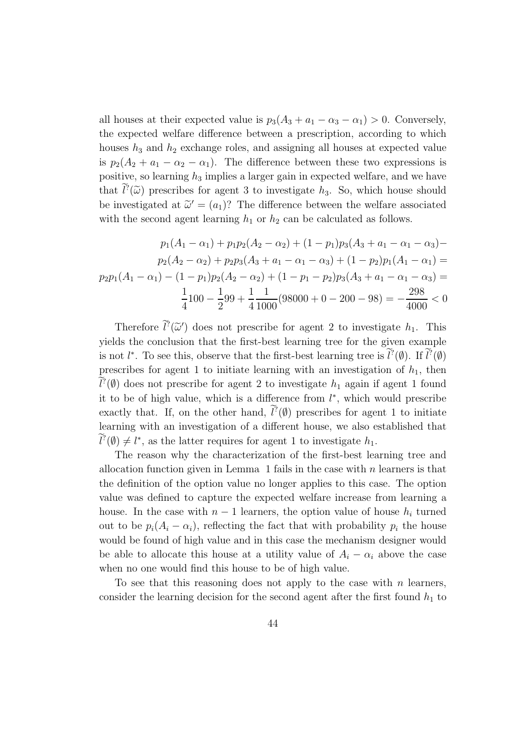all houses at their expected value is  $p_3(A_3 + a_1 - \alpha_3 - \alpha_1) > 0$ . Conversely, the expected welfare difference between a prescription, according to which houses  $h_3$  and  $h_2$  exchange roles, and assigning all houses at expected value is  $p_2(A_2 + a_1 - \alpha_2 - \alpha_1)$ . The difference between these two expressions is positive, so learning  $h_3$  implies a larger gain in expected welfare, and we have that  $l^2(\tilde{\omega})$  prescribes for agent 3 to investigate  $h_3$ . So, which house should be investigated at  $\tilde{\omega}' = (a_1)$ ? The difference between the welfare associated with the second agent learning  $h_1$  or  $h_2$  can be calculated as follows.

$$
p_1(A_1 - \alpha_1) + p_1 p_2(A_2 - \alpha_2) + (1 - p_1) p_3(A_3 + a_1 - \alpha_1 - \alpha_3) -
$$
  
\n
$$
p_2(A_2 - \alpha_2) + p_2 p_3(A_3 + a_1 - \alpha_1 - \alpha_3) + (1 - p_2) p_1(A_1 - \alpha_1) =
$$
  
\n
$$
p_2 p_1(A_1 - \alpha_1) - (1 - p_1) p_2(A_2 - \alpha_2) + (1 - p_1 - p_2) p_3(A_3 + a_1 - \alpha_1 - \alpha_3) =
$$
  
\n
$$
\frac{1}{4} 100 - \frac{1}{2} 99 + \frac{1}{4} \frac{1}{1000} (98000 + 0 - 200 - 98) = -\frac{298}{4000} < 0
$$

Therefore  $\hat{l}^2(\tilde{\omega}')$  does not prescribe for agent 2 to investigate  $h_1$ . This yields the conclusion that the first-best learning tree for the given example is not  $l^*$ . To see this, observe that the first-best learning tree is  $l^?(\emptyset)$ . If  $l^?(\emptyset)$ prescribes for agent 1 to initiate learning with an investigation of  $h_1$ , then  $\ell^2(\emptyset)$  does not prescribe for agent 2 to investigate  $h_1$  again if agent 1 found it to be of high value, which is a difference from  $l^*$ , which would prescribe exactly that. If, on the other hand,  $\hat{l}^2(\emptyset)$  prescribes for agent 1 to initiate learning with an investigation of a different house, we also established that  $l^2(\emptyset) \neq l^*$ , as the latter requires for agent 1 to investigate  $h_1$ .

The reason why the characterization of the first-best learning tree and allocation function given in Lemma 1 fails in the case with  $n$  learners is that the definition of the option value no longer applies to this case. The option value was defined to capture the expected welfare increase from learning a house. In the case with  $n-1$  learners, the option value of house  $h_i$  turned out to be  $p_i(A_i - \alpha_i)$ , reflecting the fact that with probability  $p_i$  the house would be found of high value and in this case the mechanism designer would be able to allocate this house at a utility value of  $A_i - \alpha_i$  above the case when no one would find this house to be of high value.

To see that this reasoning does not apply to the case with  $n$  learners, consider the learning decision for the second agent after the first found  $h_1$  to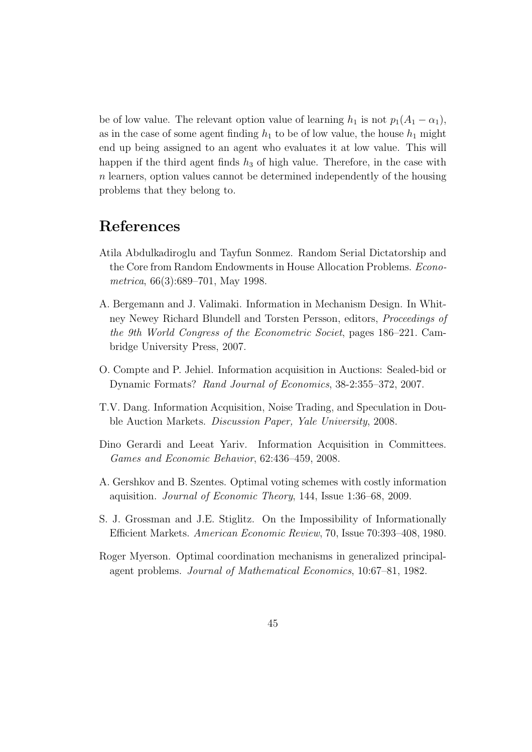be of low value. The relevant option value of learning  $h_1$  is not  $p_1(A_1 - \alpha_1)$ , as in the case of some agent finding  $h_1$  to be of low value, the house  $h_1$  might end up being assigned to an agent who evaluates it at low value. This will happen if the third agent finds  $h_3$  of high value. Therefore, in the case with n learners, option values cannot be determined independently of the housing problems that they belong to.

### References

- Atila Abdulkadiroglu and Tayfun Sonmez. Random Serial Dictatorship and the Core from Random Endowments in House Allocation Problems. *Econometrica*, 66(3):689–701, May 1998.
- A. Bergemann and J. Valimaki. Information in Mechanism Design. In Whitney Newey Richard Blundell and Torsten Persson, editors, *Proceedings of the 9th World Congress of the Econometric Societ*, pages 186–221. Cambridge University Press, 2007.
- O. Compte and P. Jehiel. Information acquisition in Auctions: Sealed-bid or Dynamic Formats? *Rand Journal of Economics*, 38-2:355–372, 2007.
- T.V. Dang. Information Acquisition, Noise Trading, and Speculation in Double Auction Markets. *Discussion Paper, Yale University*, 2008.
- Dino Gerardi and Leeat Yariv. Information Acquisition in Committees. *Games and Economic Behavior*, 62:436–459, 2008.
- A. Gershkov and B. Szentes. Optimal voting schemes with costly information aquisition. *Journal of Economic Theory*, 144, Issue 1:36–68, 2009.
- S. J. Grossman and J.E. Stiglitz. On the Impossibility of Informationally Efficient Markets. *American Economic Review*, 70, Issue 70:393–408, 1980.
- Roger Myerson. Optimal coordination mechanisms in generalized principalagent problems. *Journal of Mathematical Economics*, 10:67–81, 1982.